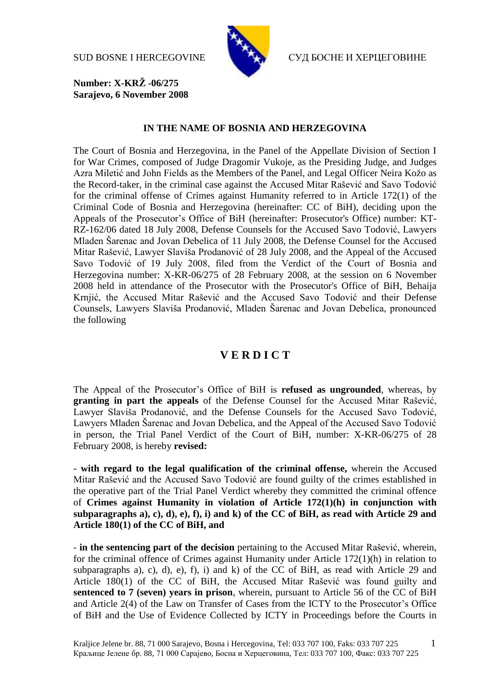

SUD BOSNE I HERCEGOVINE СУД БОСНЕ И ХЕРЦЕГОВИНЕ

**Number: X-KRŽ -06/275 Sarajevo, 6 November 2008**

## **IN THE NAME OF BOSNIA AND HERZEGOVINA**

The Court of Bosnia and Herzegovina, in the Panel of the Appellate Division of Section I for War Crimes, composed of Judge Dragomir Vukoje, as the Presiding Judge, and Judges Azra Miletić and John Fields as the Members of the Panel, and Legal Officer Neira Kožo as the Record-taker, in the criminal case against the Accused Mitar Rašević and Savo Todović for the criminal offense of Crimes against Humanity referred to in Article 172(1) of the Criminal Code of Bosnia and Herzegovina (hereinafter: CC of BiH), deciding upon the Appeals of the Prosecutor's Office of BiH (hereinafter: Prosecutor's Office) number: KT-RZ-162/06 dated 18 July 2008, Defense Counsels for the Accused Savo Todović, Lawyers Mladen Šarenac and Jovan Debelica of 11 July 2008, the Defense Counsel for the Accused Mitar Rašević, Lawyer Slaviša Prodanović of 28 July 2008, and the Appeal of the Accused Savo Todović of 19 July 2008, filed from the Verdict of the Court of Bosnia and Herzegovina number: X-KR-06/275 of 28 February 2008, at the session on 6 November 2008 held in attendance of the Prosecutor with the Prosecutor's Office of BiH, Behaija Krnjić, the Accused Mitar Rašević and the Accused Savo Todović and their Defense Counsels, Lawyers Slaviša Prodanović, Mladen Šarenac and Jovan Debelica, pronounced the following

## **V E R D I C T**

The Appeal of the Prosecutor's Office of BiH is **refused as ungrounded**, whereas, by **granting in part the appeals** of the Defense Counsel for the Accused Mitar Rašević, Lawyer Slaviša Prodanović, and the Defense Counsels for the Accused Savo Todović, Lawyers Mladen Šarenac and Jovan Debelica, and the Appeal of the Accused Savo Todović in person, the Trial Panel Verdict of the Court of BiH, number: X-KR-06/275 of 28 February 2008, is hereby **revised:** 

- **with regard to the legal qualification of the criminal offense,** wherein the Accused Mitar Rašević and the Accused Savo Todović are found guilty of the crimes established in the operative part of the Trial Panel Verdict whereby they committed the criminal offence of **Crimes against Humanity in violation of Article 172(1)(h) in conjunction with subparagraphs a), c), d), e), f), i) and k) of the CC of BiH, as read with Article 29 and Article 180(1) of the CC of BiH, and**

- **in the sentencing part of the decision** pertaining to the Accused Mitar Rašević, wherein, for the criminal offence of Crimes against Humanity under Article 172(1)(h) in relation to subparagraphs a), c), d), e), f), i) and k) of the CC of BiH, as read with Article 29 and Article 180(1) of the CC of BiH, the Accused Mitar Rašević was found guilty and **sentenced to 7 (seven) years in prison**, wherein, pursuant to Article 56 of the CC of BiH and Article 2(4) of the Law on Transfer of Cases from the ICTY to the Prosecutor's Office of BiH and the Use of Evidence Collected by ICTY in Proceedings before the Courts in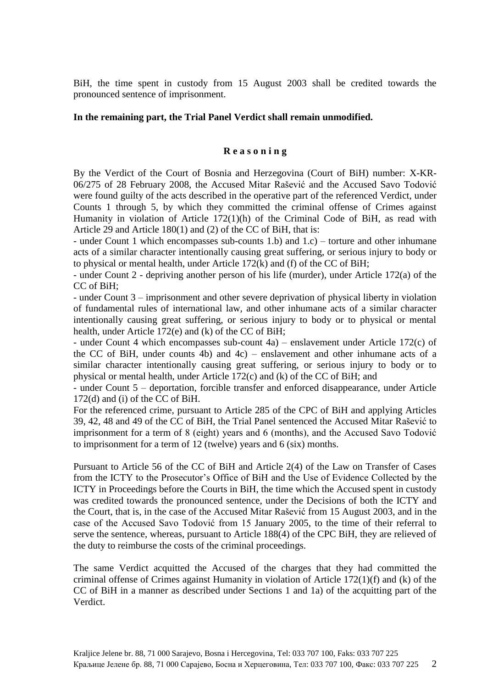BiH, the time spent in custody from 15 August 2003 shall be credited towards the pronounced sentence of imprisonment.

## **In the remaining part, the Trial Panel Verdict shall remain unmodified.**

## **R e a s o n i n g**

By the Verdict of the Court of Bosnia and Herzegovina (Court of BiH) number: X-KR-06/275 of 28 February 2008, the Accused Mitar Rašević and the Accused Savo Todović were found guilty of the acts described in the operative part of the referenced Verdict, under Counts 1 through 5, by which they committed the criminal offense of Crimes against Humanity in violation of Article 172(1)(h) of the Criminal Code of BiH, as read with Article 29 and Article 180(1) and (2) of the CC of BiH, that is:

- under Count 1 which encompasses sub-counts 1.b) and 1.c) – torture and other inhumane acts of a similar character intentionally causing great suffering, or serious injury to body or to physical or mental health, under Article 172(k) and (f) of the CC of BiH;

- under Count 2 - depriving another person of his life (murder), under Article 172(a) of the CC of BiH;

- under Count 3 – imprisonment and other severe deprivation of physical liberty in violation of fundamental rules of international law, and other inhumane acts of a similar character intentionally causing great suffering, or serious injury to body or to physical or mental health, under Article 172(e) and (k) of the CC of BiH;

- under Count 4 which encompasses sub-count 4a) – enslavement under Article 172(c) of the CC of BiH, under counts 4b) and 4c) – enslavement and other inhumane acts of a similar character intentionally causing great suffering, or serious injury to body or to physical or mental health, under Article 172(c) and (k) of the CC of BiH; and

- under Count 5 – deportation, forcible transfer and enforced disappearance, under Article 172(d) and (i) of the CC of BiH.

For the referenced crime, pursuant to Article 285 of the CPC of BiH and applying Articles 39, 42, 48 and 49 of the CC of BiH, the Trial Panel sentenced the Accused Mitar Rašević to imprisonment for a term of 8 (eight) years and 6 (months), and the Accused Savo Todović to imprisonment for a term of 12 (twelve) years and 6 (six) months.

Pursuant to Article 56 of the CC of BiH and Article 2(4) of the Law on Transfer of Cases from the ICTY to the Prosecutor's Office of BiH and the Use of Evidence Collected by the ICTY in Proceedings before the Courts in BiH, the time which the Accused spent in custody was credited towards the pronounced sentence, under the Decisions of both the ICTY and the Court, that is, in the case of the Accused Mitar Rašević from 15 August 2003, and in the case of the Accused Savo Todović from 15 January 2005, to the time of their referral to serve the sentence, whereas, pursuant to Article 188(4) of the CPC BiH, they are relieved of the duty to reimburse the costs of the criminal proceedings.

The same Verdict acquitted the Accused of the charges that they had committed the criminal offense of Crimes against Humanity in violation of Article 172(1)(f) and (k) of the CC of BiH in a manner as described under Sections 1 and 1a) of the acquitting part of the Verdict.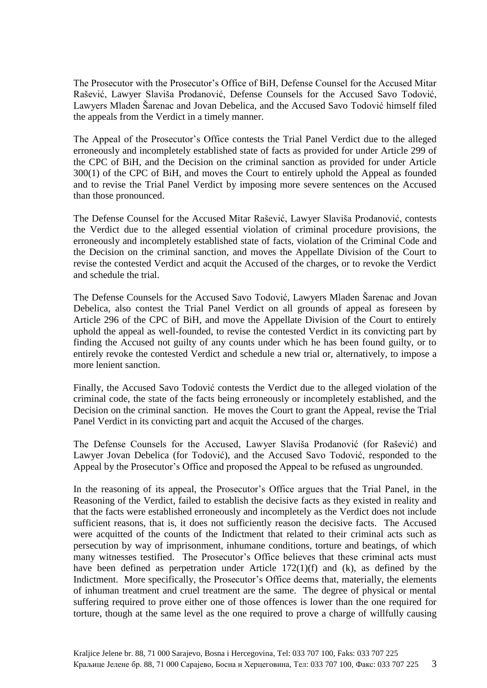The Prosecutor with the Prosecutor's Office of BiH, Defense Counsel for the Accused Mitar Rašević, Lawyer Slaviša Prodanović, Defense Counsels for the Accused Savo Todović, Lawyers Mladen Šarenac and Jovan Debelica, and the Accused Savo Todović himself filed the appeals from the Verdict in a timely manner.

The Appeal of the Prosecutor's Office contests the Trial Panel Verdict due to the alleged erroneously and incompletely established state of facts as provided for under Article 299 of the CPC of BiH, and the Decision on the criminal sanction as provided for under Article 300(1) of the CPC of BiH, and moves the Court to entirely uphold the Appeal as founded and to revise the Trial Panel Verdict by imposing more severe sentences on the Accused than those pronounced.

The Defense Counsel for the Accused Mitar Rašević, Lawyer Slaviša Prodanović, contests the Verdict due to the alleged essential violation of criminal procedure provisions, the erroneously and incompletely established state of facts, violation of the Criminal Code and the Decision on the criminal sanction, and moves the Appellate Division of the Court to revise the contested Verdict and acquit the Accused of the charges, or to revoke the Verdict and schedule the trial.

The Defense Counsels for the Accused Savo Todović, Lawyers Mladen Šarenac and Jovan Debelica, also contest the Trial Panel Verdict on all grounds of appeal as foreseen by Article 296 of the CPC of BiH, and move the Appellate Division of the Court to entirely uphold the appeal as well-founded, to revise the contested Verdict in its convicting part by finding the Accused not guilty of any counts under which he has been found guilty, or to entirely revoke the contested Verdict and schedule a new trial or, alternatively, to impose a more lenient sanction.

Finally, the Accused Savo Todović contests the Verdict due to the alleged violation of the criminal code, the state of the facts being erroneously or incompletely established, and the Decision on the criminal sanction. He moves the Court to grant the Appeal, revise the Trial Panel Verdict in its convicting part and acquit the Accused of the charges.

The Defense Counsels for the Accused, Lawyer Slaviša Prodanović (for Rašević) and Lawyer Jovan Debelica (for Todović), and the Accused Savo Todović, responded to the Appeal by the Prosecutor's Office and proposed the Appeal to be refused as ungrounded.

In the reasoning of its appeal, the Prosecutor's Office argues that the Trial Panel, in the Reasoning of the Verdict, failed to establish the decisive facts as they existed in reality and that the facts were established erroneously and incompletely as the Verdict does not include sufficient reasons, that is, it does not sufficiently reason the decisive facts. The Accused were acquitted of the counts of the Indictment that related to their criminal acts such as persecution by way of imprisonment, inhumane conditions, torture and beatings, of which many witnesses testified. The Prosecutor's Office believes that these criminal acts must have been defined as perpetration under Article 172(1)(f) and (k), as defined by the Indictment. More specifically, the Prosecutor's Office deems that, materially, the elements of inhuman treatment and cruel treatment are the same. The degree of physical or mental suffering required to prove either one of those offences is lower than the one required for torture, though at the same level as the one required to prove a charge of willfully causing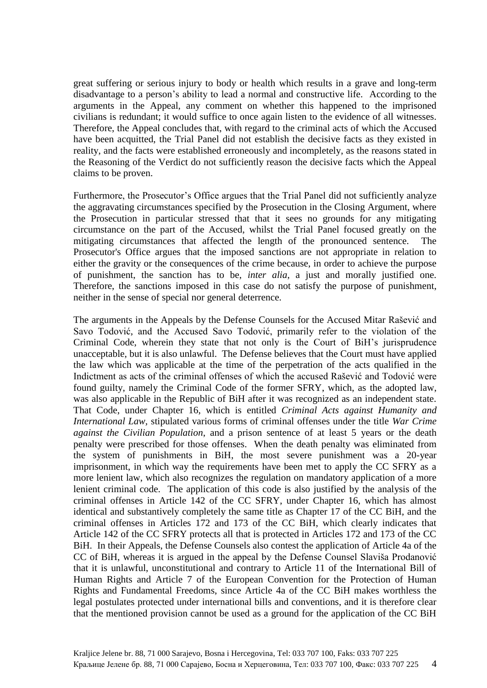great suffering or serious injury to body or health which results in a grave and long-term disadvantage to a person's ability to lead a normal and constructive life. According to the arguments in the Appeal, any comment on whether this happened to the imprisoned civilians is redundant; it would suffice to once again listen to the evidence of all witnesses. Therefore, the Appeal concludes that, with regard to the criminal acts of which the Accused have been acquitted, the Trial Panel did not establish the decisive facts as they existed in reality, and the facts were established erroneously and incompletely, as the reasons stated in the Reasoning of the Verdict do not sufficiently reason the decisive facts which the Appeal claims to be proven.

Furthermore, the Prosecutor's Office argues that the Trial Panel did not sufficiently analyze the aggravating circumstances specified by the Prosecution in the Closing Argument, where the Prosecution in particular stressed that that it sees no grounds for any mitigating circumstance on the part of the Accused, whilst the Trial Panel focused greatly on the mitigating circumstances that affected the length of the pronounced sentence. The Prosecutor's Office argues that the imposed sanctions are not appropriate in relation to either the gravity or the consequences of the crime because, in order to achieve the purpose of punishment, the sanction has to be, *inter alia*, a just and morally justified one. Therefore, the sanctions imposed in this case do not satisfy the purpose of punishment, neither in the sense of special nor general deterrence.

The arguments in the Appeals by the Defense Counsels for the Accused Mitar Rašević and Savo Todović, and the Accused Savo Todović, primarily refer to the violation of the Criminal Code, wherein they state that not only is the Court of BiH's jurisprudence unacceptable, but it is also unlawful. The Defense believes that the Court must have applied the law which was applicable at the time of the perpetration of the acts qualified in the Indictment as acts of the criminal offenses of which the accused Rašević and Todović were found guilty, namely the Criminal Code of the former SFRY, which, as the adopted law, was also applicable in the Republic of BiH after it was recognized as an independent state. That Code, under Chapter 16, which is entitled *Criminal Acts against Humanity and International Law,* stipulated various forms of criminal offenses under the title *War Crime against the Civilian Population*, and a prison sentence of at least 5 years or the death penalty were prescribed for those offenses. When the death penalty was eliminated from the system of punishments in BiH, the most severe punishment was a 20-year imprisonment, in which way the requirements have been met to apply the CC SFRY as a more lenient law, which also recognizes the regulation on mandatory application of a more lenient criminal code. The application of this code is also justified by the analysis of the criminal offenses in Article 142 of the CC SFRY, under Chapter 16, which has almost identical and substantively completely the same title as Chapter 17 of the CC BiH, and the criminal offenses in Articles 172 and 173 of the CC BiH, which clearly indicates that Article 142 of the CC SFRY protects all that is protected in Articles 172 and 173 of the CC BiH. In their Appeals, the Defense Counsels also contest the application of Article 4a of the CC of BiH, whereas it is argued in the appeal by the Defense Counsel Slaviša Prodanović that it is unlawful, unconstitutional and contrary to Article 11 of the International Bill of Human Rights and Article 7 of the European Convention for the Protection of Human Rights and Fundamental Freedoms, since Article 4a of the CC BiH makes worthless the legal postulates protected under international bills and conventions, and it is therefore clear that the mentioned provision cannot be used as a ground for the application of the CC BiH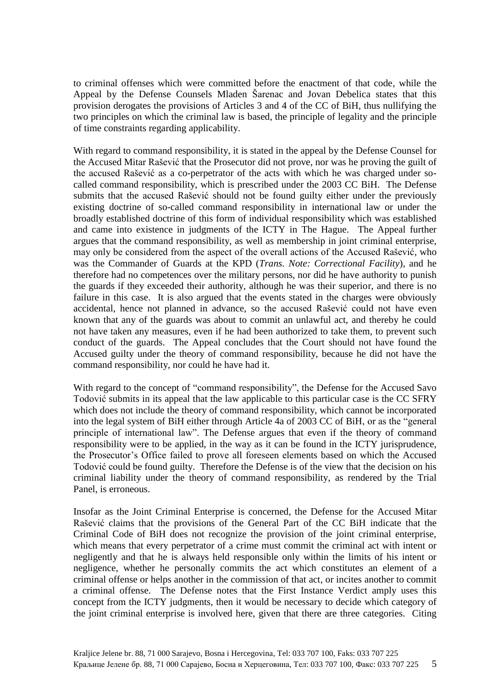to criminal offenses which were committed before the enactment of that code, while the Appeal by the Defense Counsels Mladen Šarenac and Jovan Debelica states that this provision derogates the provisions of Articles 3 and 4 of the CC of BiH, thus nullifying the two principles on which the criminal law is based, the principle of legality and the principle of time constraints regarding applicability.

With regard to command responsibility, it is stated in the appeal by the Defense Counsel for the Accused Mitar Rašević that the Prosecutor did not prove, nor was he proving the guilt of the accused Rašević as a co-perpetrator of the acts with which he was charged under socalled command responsibility, which is prescribed under the 2003 CC BiH. The Defense submits that the accused Rašević should not be found guilty either under the previously existing doctrine of so-called command responsibility in international law or under the broadly established doctrine of this form of individual responsibility which was established and came into existence in judgments of the ICTY in The Hague. The Appeal further argues that the command responsibility, as well as membership in joint criminal enterprise, may only be considered from the aspect of the overall actions of the Accused Rašević, who was the Commander of Guards at the KPD (*Trans. Note: Correctional Facility*), and he therefore had no competences over the military persons, nor did he have authority to punish the guards if they exceeded their authority, although he was their superior, and there is no failure in this case. It is also argued that the events stated in the charges were obviously accidental, hence not planned in advance, so the accused Rašević could not have even known that any of the guards was about to commit an unlawful act, and thereby he could not have taken any measures, even if he had been authorized to take them, to prevent such conduct of the guards. The Appeal concludes that the Court should not have found the Accused guilty under the theory of command responsibility, because he did not have the command responsibility, nor could he have had it.

With regard to the concept of "command responsibility", the Defense for the Accused Savo Todović submits in its appeal that the law applicable to this particular case is the CC SFRY which does not include the theory of command responsibility, which cannot be incorporated into the legal system of BiH either through Article 4a of 2003 CC of BiH, or as the "general principle of international law". The Defense argues that even if the theory of command responsibility were to be applied, in the way as it can be found in the ICTY jurisprudence, the Prosecutor's Office failed to prove all foreseen elements based on which the Accused Todović could be found guilty. Therefore the Defense is of the view that the decision on his criminal liability under the theory of command responsibility, as rendered by the Trial Panel, is erroneous.

Insofar as the Joint Criminal Enterprise is concerned, the Defense for the Accused Mitar Rašević claims that the provisions of the General Part of the CC BiH indicate that the Criminal Code of BiH does not recognize the provision of the joint criminal enterprise, which means that every perpetrator of a crime must commit the criminal act with intent or negligently and that he is always held responsible only within the limits of his intent or negligence, whether he personally commits the act which constitutes an element of a criminal offense or helps another in the commission of that act, or incites another to commit a criminal offense. The Defense notes that the First Instance Verdict amply uses this concept from the ICTY judgments, then it would be necessary to decide which category of the joint criminal enterprise is involved here, given that there are three categories. Citing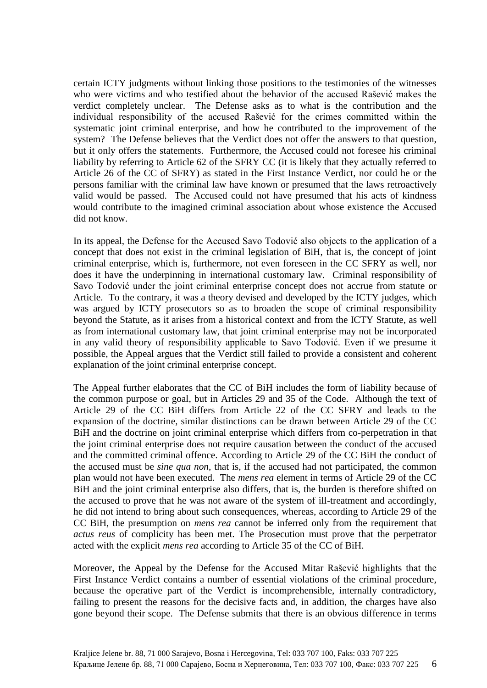certain ICTY judgments without linking those positions to the testimonies of the witnesses who were victims and who testified about the behavior of the accused Rašević makes the verdict completely unclear. The Defense asks as to what is the contribution and the individual responsibility of the accused Rašević for the crimes committed within the systematic joint criminal enterprise, and how he contributed to the improvement of the system? The Defense believes that the Verdict does not offer the answers to that question, but it only offers the statements. Furthermore, the Accused could not foresee his criminal liability by referring to Article 62 of the SFRY CC (it is likely that they actually referred to Article 26 of the CC of SFRY) as stated in the First Instance Verdict, nor could he or the persons familiar with the criminal law have known or presumed that the laws retroactively valid would be passed. The Accused could not have presumed that his acts of kindness would contribute to the imagined criminal association about whose existence the Accused did not know.

In its appeal, the Defense for the Accused Savo Todović also objects to the application of a concept that does not exist in the criminal legislation of BiH, that is, the concept of joint criminal enterprise, which is, furthermore, not even foreseen in the CC SFRY as well, nor does it have the underpinning in international customary law. Criminal responsibility of Savo Todović under the joint criminal enterprise concept does not accrue from statute or Article. To the contrary, it was a theory devised and developed by the ICTY judges, which was argued by ICTY prosecutors so as to broaden the scope of criminal responsibility beyond the Statute, as it arises from a historical context and from the ICTY Statute, as well as from international customary law, that joint criminal enterprise may not be incorporated in any valid theory of responsibility applicable to Savo Todović. Even if we presume it possible, the Appeal argues that the Verdict still failed to provide a consistent and coherent explanation of the joint criminal enterprise concept.

The Appeal further elaborates that the CC of BiH includes the form of liability because of the common purpose or goal, but in Articles 29 and 35 of the Code. Although the text of Article 29 of the CC BiH differs from Article 22 of the CC SFRY and leads to the expansion of the doctrine, similar distinctions can be drawn between Article 29 of the CC BiH and the doctrine on joint criminal enterprise which differs from co-perpetration in that the joint criminal enterprise does not require causation between the conduct of the accused and the committed criminal offence. According to Article 29 of the CC BiH the conduct of the accused must be *sine qua non*, that is, if the accused had not participated, the common plan would not have been executed. The *mens rea* element in terms of Article 29 of the CC BiH and the joint criminal enterprise also differs, that is, the burden is therefore shifted on the accused to prove that he was not aware of the system of ill-treatment and accordingly, he did not intend to bring about such consequences, whereas, according to Article 29 of the CC BiH, the presumption on *mens rea* cannot be inferred only from the requirement that *actus reus* of complicity has been met. The Prosecution must prove that the perpetrator acted with the explicit *mens rea* according to Article 35 of the CC of BiH.

Moreover, the Appeal by the Defense for the Accused Mitar Rašević highlights that the First Instance Verdict contains a number of essential violations of the criminal procedure, because the operative part of the Verdict is incomprehensible, internally contradictory, failing to present the reasons for the decisive facts and, in addition, the charges have also gone beyond their scope. The Defense submits that there is an obvious difference in terms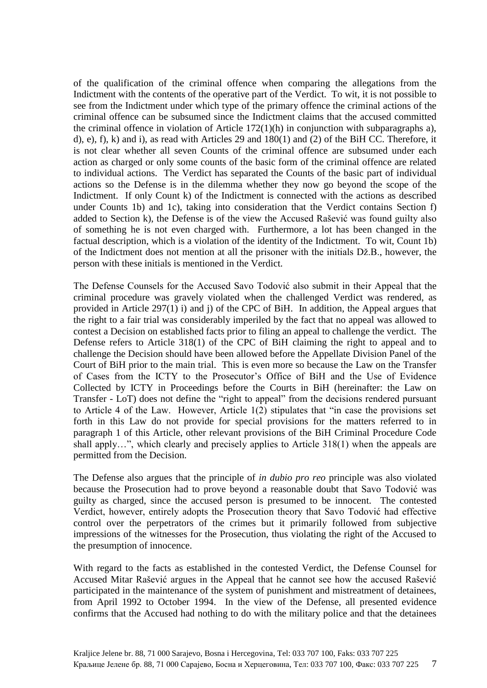of the qualification of the criminal offence when comparing the allegations from the Indictment with the contents of the operative part of the Verdict. To wit, it is not possible to see from the Indictment under which type of the primary offence the criminal actions of the criminal offence can be subsumed since the Indictment claims that the accused committed the criminal offence in violation of Article  $172(1)(h)$  in conjunction with subparagraphs a), d), e), f), k) and i), as read with Articles 29 and 180(1) and (2) of the BiH CC. Therefore, it is not clear whether all seven Counts of the criminal offence are subsumed under each action as charged or only some counts of the basic form of the criminal offence are related to individual actions. The Verdict has separated the Counts of the basic part of individual actions so the Defense is in the dilemma whether they now go beyond the scope of the Indictment. If only Count k) of the Indictment is connected with the actions as described under Counts 1b) and 1c), taking into consideration that the Verdict contains Section f) added to Section k), the Defense is of the view the Accused Rašević was found guilty also of something he is not even charged with. Furthermore, a lot has been changed in the factual description, which is a violation of the identity of the Indictment. To wit, Count 1b) of the Indictment does not mention at all the prisoner with the initials Dž.B., however, the person with these initials is mentioned in the Verdict.

The Defense Counsels for the Accused Savo Todović also submit in their Appeal that the criminal procedure was gravely violated when the challenged Verdict was rendered, as provided in Article 297(1) i) and j) of the CPC of BiH. In addition, the Appeal argues that the right to a fair trial was considerably imperiled by the fact that no appeal was allowed to contest a Decision on established facts prior to filing an appeal to challenge the verdict. The Defense refers to Article 318(1) of the CPC of BiH claiming the right to appeal and to challenge the Decision should have been allowed before the Appellate Division Panel of the Court of BiH prior to the main trial. This is even more so because the Law on the Transfer of Cases from the ICTY to the Prosecutor's Office of BiH and the Use of Evidence Collected by ICTY in Proceedings before the Courts in BiH (hereinafter: the Law on Transfer - LoT) does not define the "right to appeal" from the decisions rendered pursuant to Article 4 of the Law. However, Article 1(2) stipulates that "in case the provisions set forth in this Law do not provide for special provisions for the matters referred to in paragraph 1 of this Article, other relevant provisions of the BiH Criminal Procedure Code shall apply…", which clearly and precisely applies to Article 318(1) when the appeals are permitted from the Decision.

The Defense also argues that the principle of *in dubio pro reo* principle was also violated because the Prosecution had to prove beyond a reasonable doubt that Savo Todović was guilty as charged, since the accused person is presumed to be innocent. The contested Verdict, however, entirely adopts the Prosecution theory that Savo Todović had effective control over the perpetrators of the crimes but it primarily followed from subjective impressions of the witnesses for the Prosecution, thus violating the right of the Accused to the presumption of innocence.

With regard to the facts as established in the contested Verdict, the Defense Counsel for Accused Mitar Rašević argues in the Appeal that he cannot see how the accused Rašević participated in the maintenance of the system of punishment and mistreatment of detainees, from April 1992 to October 1994. In the view of the Defense, all presented evidence confirms that the Accused had nothing to do with the military police and that the detainees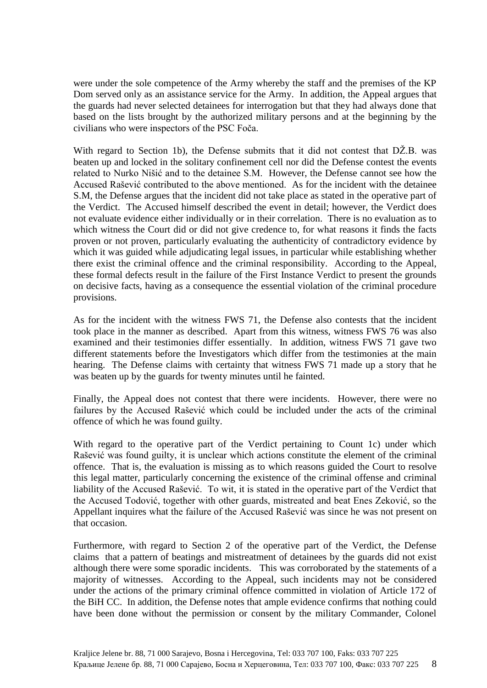were under the sole competence of the Army whereby the staff and the premises of the KP Dom served only as an assistance service for the Army. In addition, the Appeal argues that the guards had never selected detainees for interrogation but that they had always done that based on the lists brought by the authorized military persons and at the beginning by the civilians who were inspectors of the PSC Foča.

With regard to Section 1b), the Defense submits that it did not contest that DŽ.B. was beaten up and locked in the solitary confinement cell nor did the Defense contest the events related to Nurko Nišić and to the detainee S.M. However, the Defense cannot see how the Accused Rašević contributed to the above mentioned. As for the incident with the detainee S.M, the Defense argues that the incident did not take place as stated in the operative part of the Verdict. The Accused himself described the event in detail; however, the Verdict does not evaluate evidence either individually or in their correlation. There is no evaluation as to which witness the Court did or did not give credence to, for what reasons it finds the facts proven or not proven, particularly evaluating the authenticity of contradictory evidence by which it was guided while adjudicating legal issues, in particular while establishing whether there exist the criminal offence and the criminal responsibility. According to the Appeal, these formal defects result in the failure of the First Instance Verdict to present the grounds on decisive facts, having as a consequence the essential violation of the criminal procedure provisions.

As for the incident with the witness FWS 71, the Defense also contests that the incident took place in the manner as described. Apart from this witness, witness FWS 76 was also examined and their testimonies differ essentially. In addition, witness FWS 71 gave two different statements before the Investigators which differ from the testimonies at the main hearing. The Defense claims with certainty that witness FWS 71 made up a story that he was beaten up by the guards for twenty minutes until he fainted.

Finally, the Appeal does not contest that there were incidents. However, there were no failures by the Accused Rašević which could be included under the acts of the criminal offence of which he was found guilty.

With regard to the operative part of the Verdict pertaining to Count 1c) under which Rašević was found guilty, it is unclear which actions constitute the element of the criminal offence. That is, the evaluation is missing as to which reasons guided the Court to resolve this legal matter, particularly concerning the existence of the criminal offense and criminal liability of the Accused Rašević. To wit, it is stated in the operative part of the Verdict that the Accused Todović, together with other guards, mistreated and beat Enes Zeković, so the Appellant inquires what the failure of the Accused Rašević was since he was not present on that occasion.

Furthermore, with regard to Section 2 of the operative part of the Verdict, the Defense claims that a pattern of beatings and mistreatment of detainees by the guards did not exist although there were some sporadic incidents. This was corroborated by the statements of a majority of witnesses. According to the Appeal, such incidents may not be considered under the actions of the primary criminal offence committed in violation of Article 172 of the BiH CC. In addition, the Defense notes that ample evidence confirms that nothing could have been done without the permission or consent by the military Commander, Colonel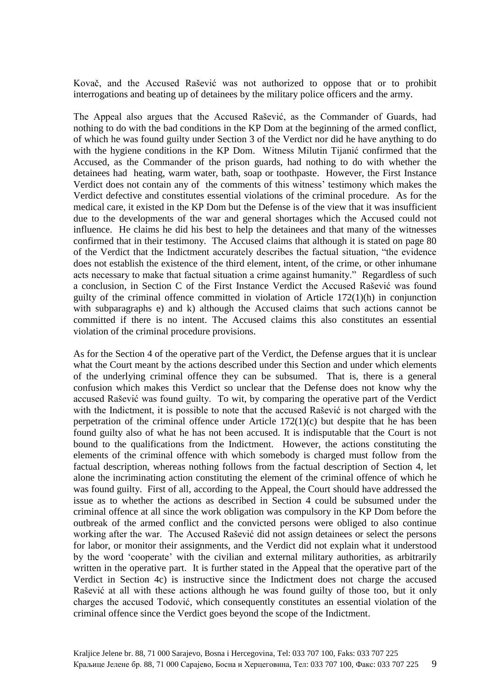Kovač, and the Accused Rašević was not authorized to oppose that or to prohibit interrogations and beating up of detainees by the military police officers and the army.

The Appeal also argues that the Accused Rašević, as the Commander of Guards, had nothing to do with the bad conditions in the KP Dom at the beginning of the armed conflict, of which he was found guilty under Section 3 of the Verdict nor did he have anything to do with the hygiene conditions in the KP Dom. Witness Milutin Tijanić confirmed that the Accused, as the Commander of the prison guards, had nothing to do with whether the detainees had heating, warm water, bath, soap or toothpaste. However, the First Instance Verdict does not contain any of the comments of this witness' testimony which makes the Verdict defective and constitutes essential violations of the criminal procedure. As for the medical care, it existed in the KP Dom but the Defense is of the view that it was insufficient due to the developments of the war and general shortages which the Accused could not influence. He claims he did his best to help the detainees and that many of the witnesses confirmed that in their testimony. The Accused claims that although it is stated on page 80 of the Verdict that the Indictment accurately describes the factual situation, "the evidence does not establish the existence of the third element, intent, of the crime, or other inhumane acts necessary to make that factual situation a crime against humanity." Regardless of such a conclusion, in Section C of the First Instance Verdict the Accused Rašević was found guilty of the criminal offence committed in violation of Article 172(1)(h) in conjunction with subparagraphs e) and k) although the Accused claims that such actions cannot be committed if there is no intent. The Accused claims this also constitutes an essential violation of the criminal procedure provisions.

As for the Section 4 of the operative part of the Verdict, the Defense argues that it is unclear what the Court meant by the actions described under this Section and under which elements of the underlying criminal offence they can be subsumed. That is, there is a general confusion which makes this Verdict so unclear that the Defense does not know why the accused Rašević was found guilty. To wit, by comparing the operative part of the Verdict with the Indictment, it is possible to note that the accused Rašević is not charged with the perpetration of the criminal offence under Article 172(1)(c) but despite that he has been found guilty also of what he has not been accused. It is indisputable that the Court is not bound to the qualifications from the Indictment. However, the actions constituting the elements of the criminal offence with which somebody is charged must follow from the factual description, whereas nothing follows from the factual description of Section 4, let alone the incriminating action constituting the element of the criminal offence of which he was found guilty. First of all, according to the Appeal, the Court should have addressed the issue as to whether the actions as described in Section 4 could be subsumed under the criminal offence at all since the work obligation was compulsory in the KP Dom before the outbreak of the armed conflict and the convicted persons were obliged to also continue working after the war. The Accused Rašević did not assign detainees or select the persons for labor, or monitor their assignments, and the Verdict did not explain what it understood by the word 'cooperate' with the civilian and external military authorities, as arbitrarily written in the operative part. It is further stated in the Appeal that the operative part of the Verdict in Section 4c) is instructive since the Indictment does not charge the accused Rašević at all with these actions although he was found guilty of those too, but it only charges the accused Todović, which consequently constitutes an essential violation of the criminal offence since the Verdict goes beyond the scope of the Indictment.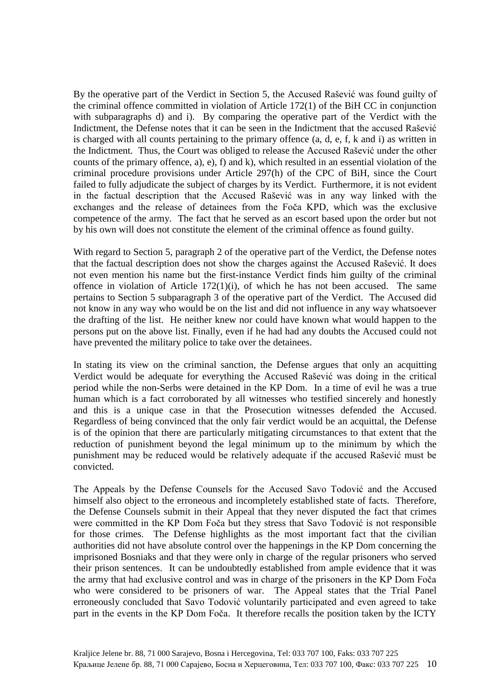By the operative part of the Verdict in Section 5, the Accused Rašević was found guilty of the criminal offence committed in violation of Article 172(1) of the BiH CC in conjunction with subparagraphs d) and i). By comparing the operative part of the Verdict with the Indictment, the Defense notes that it can be seen in the Indictment that the accused Rašević is charged with all counts pertaining to the primary offence (a, d, e, f, k and i) as written in the Indictment. Thus, the Court was obliged to release the Accused Rašević under the other counts of the primary offence, a), e), f) and k), which resulted in an essential violation of the criminal procedure provisions under Article 297(h) of the CPC of BiH, since the Court failed to fully adjudicate the subject of charges by its Verdict. Furthermore, it is not evident in the factual description that the Accused Rašević was in any way linked with the exchanges and the release of detainees from the Foča KPD, which was the exclusive competence of the army. The fact that he served as an escort based upon the order but not by his own will does not constitute the element of the criminal offence as found guilty.

With regard to Section 5, paragraph 2 of the operative part of the Verdict, the Defense notes that the factual description does not show the charges against the Accused Rašević. It does not even mention his name but the first-instance Verdict finds him guilty of the criminal offence in violation of Article  $172(1)(i)$ , of which he has not been accused. The same pertains to Section 5 subparagraph 3 of the operative part of the Verdict. The Accused did not know in any way who would be on the list and did not influence in any way whatsoever the drafting of the list. He neither knew nor could have known what would happen to the persons put on the above list. Finally, even if he had had any doubts the Accused could not have prevented the military police to take over the detainees.

In stating its view on the criminal sanction, the Defense argues that only an acquitting Verdict would be adequate for everything the Accused Rašević was doing in the critical period while the non-Serbs were detained in the KP Dom. In a time of evil he was a true human which is a fact corroborated by all witnesses who testified sincerely and honestly and this is a unique case in that the Prosecution witnesses defended the Accused. Regardless of being convinced that the only fair verdict would be an acquittal, the Defense is of the opinion that there are particularly mitigating circumstances to that extent that the reduction of punishment beyond the legal minimum up to the minimum by which the punishment may be reduced would be relatively adequate if the accused Rašević must be convicted.

The Appeals by the Defense Counsels for the Accused Savo Todović and the Accused himself also object to the erroneous and incompletely established state of facts. Therefore, the Defense Counsels submit in their Appeal that they never disputed the fact that crimes were committed in the KP Dom Foča but they stress that Savo Todović is not responsible for those crimes. The Defense highlights as the most important fact that the civilian authorities did not have absolute control over the happenings in the KP Dom concerning the imprisoned Bosniaks and that they were only in charge of the regular prisoners who served their prison sentences. It can be undoubtedly established from ample evidence that it was the army that had exclusive control and was in charge of the prisoners in the KP Dom Foča who were considered to be prisoners of war. The Appeal states that the Trial Panel erroneously concluded that Savo Todović voluntarily participated and even agreed to take part in the events in the KP Dom Foča. It therefore recalls the position taken by the ICTY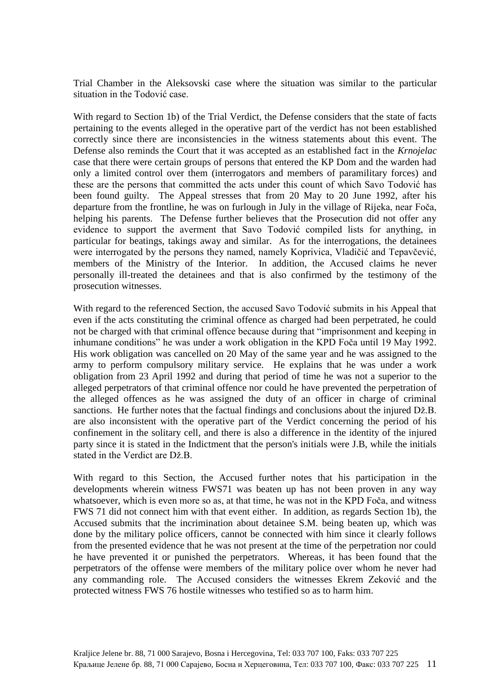Trial Chamber in the Aleksovski case where the situation was similar to the particular situation in the Todović case.

With regard to Section 1b) of the Trial Verdict, the Defense considers that the state of facts pertaining to the events alleged in the operative part of the verdict has not been established correctly since there are inconsistencies in the witness statements about this event. The Defense also reminds the Court that it was accepted as an established fact in the *Krnojelac*  case that there were certain groups of persons that entered the KP Dom and the warden had only a limited control over them (interrogators and members of paramilitary forces) and these are the persons that committed the acts under this count of which Savo Todović has been found guilty. The Appeal stresses that from 20 May to 20 June 1992, after his departure from the frontline, he was on furlough in July in the village of Rijeka, near Foča, helping his parents. The Defense further believes that the Prosecution did not offer any evidence to support the averment that Savo Todović compiled lists for anything, in particular for beatings, takings away and similar. As for the interrogations, the detainees were interrogated by the persons they named, namely Koprivica, Vladičić and Tepavčević, members of the Ministry of the Interior. In addition, the Accused claims he never personally ill-treated the detainees and that is also confirmed by the testimony of the prosecution witnesses.

With regard to the referenced Section, the accused Savo Todović submits in his Appeal that even if the acts constituting the criminal offence as charged had been perpetrated, he could not be charged with that criminal offence because during that "imprisonment and keeping in inhumane conditions" he was under a work obligation in the KPD Foča until 19 May 1992. His work obligation was cancelled on 20 May of the same year and he was assigned to the army to perform compulsory military service. He explains that he was under a work obligation from 23 April 1992 and during that period of time he was not a superior to the alleged perpetrators of that criminal offence nor could he have prevented the perpetration of the alleged offences as he was assigned the duty of an officer in charge of criminal sanctions. He further notes that the factual findings and conclusions about the injured Dž.B. are also inconsistent with the operative part of the Verdict concerning the period of his confinement in the solitary cell, and there is also a difference in the identity of the injured party since it is stated in the Indictment that the person's initials were J.B, while the initials stated in the Verdict are Dž.B.

With regard to this Section, the Accused further notes that his participation in the developments wherein witness FWS71 was beaten up has not been proven in any way whatsoever, which is even more so as, at that time, he was not in the KPD Foča, and witness FWS 71 did not connect him with that event either. In addition, as regards Section 1b), the Accused submits that the incrimination about detainee S.M. being beaten up, which was done by the military police officers, cannot be connected with him since it clearly follows from the presented evidence that he was not present at the time of the perpetration nor could he have prevented it or punished the perpetrators. Whereas, it has been found that the perpetrators of the offense were members of the military police over whom he never had any commanding role. The Accused considers the witnesses Ekrem Zeković and the protected witness FWS 76 hostile witnesses who testified so as to harm him.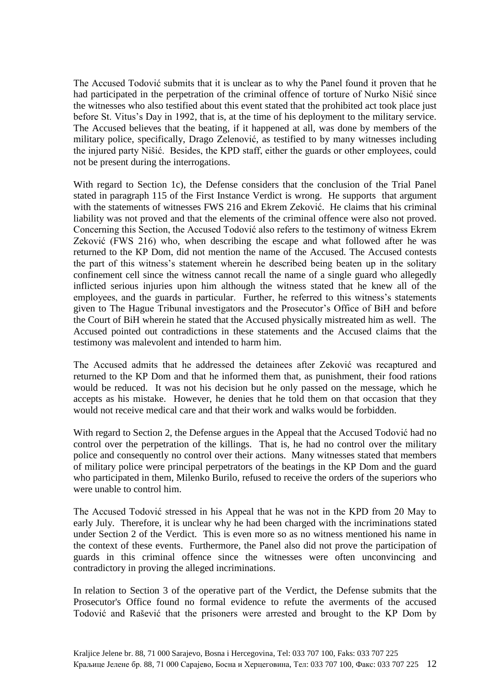The Accused Todović submits that it is unclear as to why the Panel found it proven that he had participated in the perpetration of the criminal offence of torture of Nurko Nišić since the witnesses who also testified about this event stated that the prohibited act took place just before St. Vitus's Day in 1992, that is, at the time of his deployment to the military service. The Accused believes that the beating, if it happened at all, was done by members of the military police, specifically, Drago Zelenović, as testified to by many witnesses including the injured party Nišić. Besides, the KPD staff, either the guards or other employees, could not be present during the interrogations.

With regard to Section 1c), the Defense considers that the conclusion of the Trial Panel stated in paragraph 115 of the First Instance Verdict is wrong. He supports that argument with the statements of witnesses FWS 216 and Ekrem Zeković. He claims that his criminal liability was not proved and that the elements of the criminal offence were also not proved. Concerning this Section, the Accused Todović also refers to the testimony of witness Ekrem Zeković (FWS 216) who, when describing the escape and what followed after he was returned to the KP Dom, did not mention the name of the Accused. The Accused contests the part of this witness's statement wherein he described being beaten up in the solitary confinement cell since the witness cannot recall the name of a single guard who allegedly inflicted serious injuries upon him although the witness stated that he knew all of the employees, and the guards in particular. Further, he referred to this witness's statements given to The Hague Tribunal investigators and the Prosecutor's Office of BiH and before the Court of BiH wherein he stated that the Accused physically mistreated him as well. The Accused pointed out contradictions in these statements and the Accused claims that the testimony was malevolent and intended to harm him.

The Accused admits that he addressed the detainees after Zeković was recaptured and returned to the KP Dom and that he informed them that, as punishment, their food rations would be reduced. It was not his decision but he only passed on the message, which he accepts as his mistake. However, he denies that he told them on that occasion that they would not receive medical care and that their work and walks would be forbidden.

With regard to Section 2, the Defense argues in the Appeal that the Accused Todović had no control over the perpetration of the killings. That is, he had no control over the military police and consequently no control over their actions. Many witnesses stated that members of military police were principal perpetrators of the beatings in the KP Dom and the guard who participated in them, Milenko Burilo, refused to receive the orders of the superiors who were unable to control him.

The Accused Todović stressed in his Appeal that he was not in the KPD from 20 May to early July. Therefore, it is unclear why he had been charged with the incriminations stated under Section 2 of the Verdict. This is even more so as no witness mentioned his name in the context of these events. Furthermore, the Panel also did not prove the participation of guards in this criminal offence since the witnesses were often unconvincing and contradictory in proving the alleged incriminations.

In relation to Section 3 of the operative part of the Verdict, the Defense submits that the Prosecutor's Office found no formal evidence to refute the averments of the accused Todović and Rašević that the prisoners were arrested and brought to the KP Dom by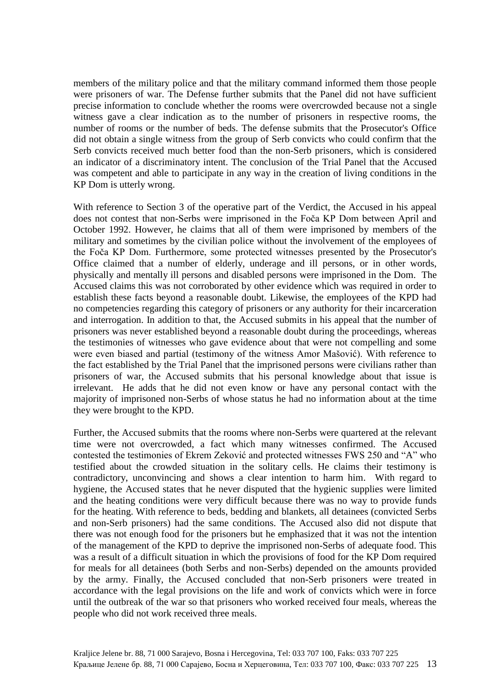members of the military police and that the military command informed them those people were prisoners of war. The Defense further submits that the Panel did not have sufficient precise information to conclude whether the rooms were overcrowded because not a single witness gave a clear indication as to the number of prisoners in respective rooms, the number of rooms or the number of beds. The defense submits that the Prosecutor's Office did not obtain a single witness from the group of Serb convicts who could confirm that the Serb convicts received much better food than the non-Serb prisoners, which is considered an indicator of a discriminatory intent. The conclusion of the Trial Panel that the Accused was competent and able to participate in any way in the creation of living conditions in the KP Dom is utterly wrong.

With reference to Section 3 of the operative part of the Verdict, the Accused in his appeal does not contest that non-Serbs were imprisoned in the Foča KP Dom between April and October 1992. However, he claims that all of them were imprisoned by members of the military and sometimes by the civilian police without the involvement of the employees of the Foča KP Dom. Furthermore, some protected witnesses presented by the Prosecutor's Office claimed that a number of elderly, underage and ill persons, or in other words, physically and mentally ill persons and disabled persons were imprisoned in the Dom. The Accused claims this was not corroborated by other evidence which was required in order to establish these facts beyond a reasonable doubt. Likewise, the employees of the KPD had no competencies regarding this category of prisoners or any authority for their incarceration and interrogation. In addition to that, the Accused submits in his appeal that the number of prisoners was never established beyond a reasonable doubt during the proceedings, whereas the testimonies of witnesses who gave evidence about that were not compelling and some were even biased and partial (testimony of the witness Amor Mašović). With reference to the fact established by the Trial Panel that the imprisoned persons were civilians rather than prisoners of war, the Accused submits that his personal knowledge about that issue is irrelevant. He adds that he did not even know or have any personal contact with the majority of imprisoned non-Serbs of whose status he had no information about at the time they were brought to the KPD.

Further, the Accused submits that the rooms where non-Serbs were quartered at the relevant time were not overcrowded, a fact which many witnesses confirmed. The Accused contested the testimonies of Ekrem Zeković and protected witnesses FWS 250 and "A" who testified about the crowded situation in the solitary cells. He claims their testimony is contradictory, unconvincing and shows a clear intention to harm him. With regard to hygiene, the Accused states that he never disputed that the hygienic supplies were limited and the heating conditions were very difficult because there was no way to provide funds for the heating. With reference to beds, bedding and blankets, all detainees (convicted Serbs and non-Serb prisoners) had the same conditions. The Accused also did not dispute that there was not enough food for the prisoners but he emphasized that it was not the intention of the management of the KPD to deprive the imprisoned non-Serbs of adequate food. This was a result of a difficult situation in which the provisions of food for the KP Dom required for meals for all detainees (both Serbs and non-Serbs) depended on the amounts provided by the army. Finally, the Accused concluded that non-Serb prisoners were treated in accordance with the legal provisions on the life and work of convicts which were in force until the outbreak of the war so that prisoners who worked received four meals, whereas the people who did not work received three meals.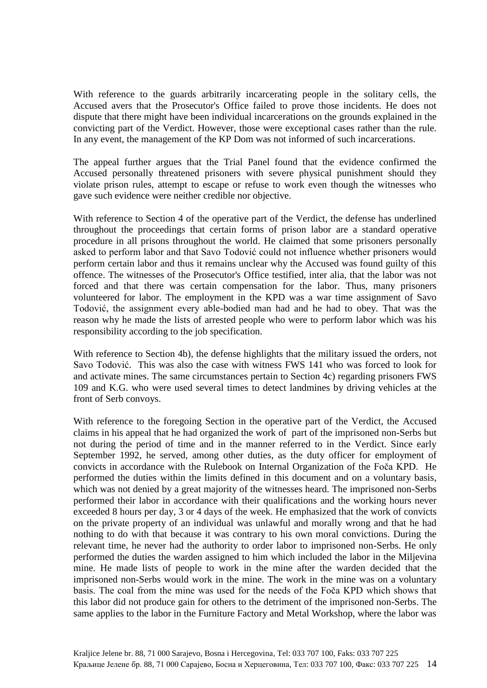With reference to the guards arbitrarily incarcerating people in the solitary cells, the Accused avers that the Prosecutor's Office failed to prove those incidents. He does not dispute that there might have been individual incarcerations on the grounds explained in the convicting part of the Verdict. However, those were exceptional cases rather than the rule. In any event, the management of the KP Dom was not informed of such incarcerations.

The appeal further argues that the Trial Panel found that the evidence confirmed the Accused personally threatened prisoners with severe physical punishment should they violate prison rules, attempt to escape or refuse to work even though the witnesses who gave such evidence were neither credible nor objective.

With reference to Section 4 of the operative part of the Verdict, the defense has underlined throughout the proceedings that certain forms of prison labor are a standard operative procedure in all prisons throughout the world. He claimed that some prisoners personally asked to perform labor and that Savo Todović could not influence whether prisoners would perform certain labor and thus it remains unclear why the Accused was found guilty of this offence. The witnesses of the Prosecutor's Office testified, inter alia, that the labor was not forced and that there was certain compensation for the labor. Thus, many prisoners volunteered for labor. The employment in the KPD was a war time assignment of Savo Todović, the assignment every able-bodied man had and he had to obey. That was the reason why he made the lists of arrested people who were to perform labor which was his responsibility according to the job specification.

With reference to Section 4b), the defense highlights that the military issued the orders, not Savo Todović. This was also the case with witness FWS 141 who was forced to look for and activate mines. The same circumstances pertain to Section 4c) regarding prisoners FWS 109 and K.G. who were used several times to detect landmines by driving vehicles at the front of Serb convoys.

With reference to the foregoing Section in the operative part of the Verdict, the Accused claims in his appeal that he had organized the work of part of the imprisoned non-Serbs but not during the period of time and in the manner referred to in the Verdict. Since early September 1992, he served, among other duties, as the duty officer for employment of convicts in accordance with the Rulebook on Internal Organization of the Foča KPD. He performed the duties within the limits defined in this document and on a voluntary basis, which was not denied by a great majority of the witnesses heard. The imprisoned non-Serbs performed their labor in accordance with their qualifications and the working hours never exceeded 8 hours per day, 3 or 4 days of the week. He emphasized that the work of convicts on the private property of an individual was unlawful and morally wrong and that he had nothing to do with that because it was contrary to his own moral convictions. During the relevant time, he never had the authority to order labor to imprisoned non-Serbs. He only performed the duties the warden assigned to him which included the labor in the Miljevina mine. He made lists of people to work in the mine after the warden decided that the imprisoned non-Serbs would work in the mine. The work in the mine was on a voluntary basis. The coal from the mine was used for the needs of the Foča KPD which shows that this labor did not produce gain for others to the detriment of the imprisoned non-Serbs. The same applies to the labor in the Furniture Factory and Metal Workshop, where the labor was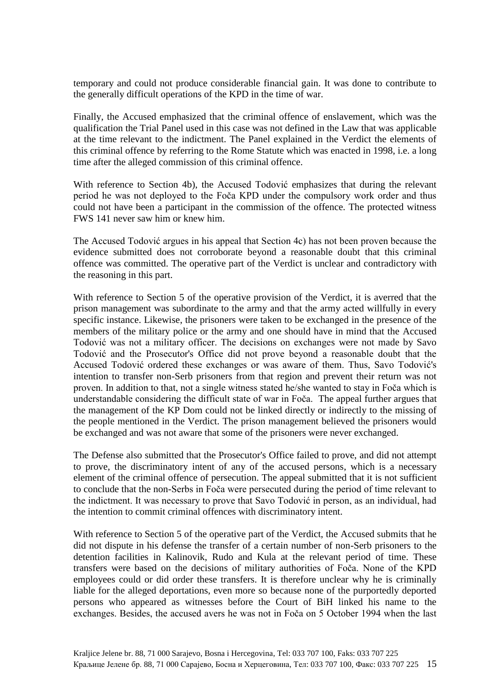temporary and could not produce considerable financial gain. It was done to contribute to the generally difficult operations of the KPD in the time of war.

Finally, the Accused emphasized that the criminal offence of enslavement, which was the qualification the Trial Panel used in this case was not defined in the Law that was applicable at the time relevant to the indictment. The Panel explained in the Verdict the elements of this criminal offence by referring to the Rome Statute which was enacted in 1998, i.e. a long time after the alleged commission of this criminal offence.

With reference to Section 4b), the Accused Todović emphasizes that during the relevant period he was not deployed to the Foča KPD under the compulsory work order and thus could not have been a participant in the commission of the offence. The protected witness FWS 141 never saw him or knew him.

The Accused Todović argues in his appeal that Section 4c) has not been proven because the evidence submitted does not corroborate beyond a reasonable doubt that this criminal offence was committed. The operative part of the Verdict is unclear and contradictory with the reasoning in this part.

With reference to Section 5 of the operative provision of the Verdict, it is averred that the prison management was subordinate to the army and that the army acted willfully in every specific instance. Likewise, the prisoners were taken to be exchanged in the presence of the members of the military police or the army and one should have in mind that the Accused Todović was not a military officer. The decisions on exchanges were not made by Savo Todović and the Prosecutor's Office did not prove beyond a reasonable doubt that the Accused Todović ordered these exchanges or was aware of them. Thus, Savo Todović's intention to transfer non-Serb prisoners from that region and prevent their return was not proven. In addition to that, not a single witness stated he/she wanted to stay in Foča which is understandable considering the difficult state of war in Foča. The appeal further argues that the management of the KP Dom could not be linked directly or indirectly to the missing of the people mentioned in the Verdict. The prison management believed the prisoners would be exchanged and was not aware that some of the prisoners were never exchanged.

The Defense also submitted that the Prosecutor's Office failed to prove, and did not attempt to prove, the discriminatory intent of any of the accused persons, which is a necessary element of the criminal offence of persecution. The appeal submitted that it is not sufficient to conclude that the non-Serbs in Foča were persecuted during the period of time relevant to the indictment. It was necessary to prove that Savo Todović in person, as an individual, had the intention to commit criminal offences with discriminatory intent.

With reference to Section 5 of the operative part of the Verdict, the Accused submits that he did not dispute in his defense the transfer of a certain number of non-Serb prisoners to the detention facilities in Kalinovik, Rudo and Kula at the relevant period of time. These transfers were based on the decisions of military authorities of Foča. None of the KPD employees could or did order these transfers. It is therefore unclear why he is criminally liable for the alleged deportations, even more so because none of the purportedly deported persons who appeared as witnesses before the Court of BiH linked his name to the exchanges. Besides, the accused avers he was not in Foča on 5 October 1994 when the last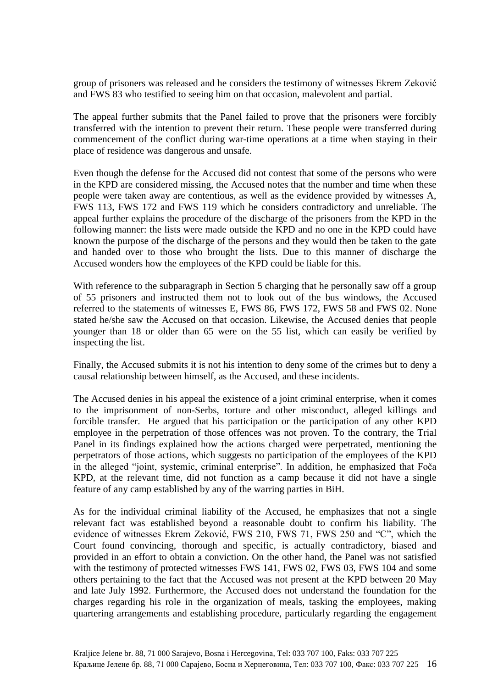group of prisoners was released and he considers the testimony of witnesses Ekrem Zeković and FWS 83 who testified to seeing him on that occasion, malevolent and partial.

The appeal further submits that the Panel failed to prove that the prisoners were forcibly transferred with the intention to prevent their return. These people were transferred during commencement of the conflict during war-time operations at a time when staying in their place of residence was dangerous and unsafe.

Even though the defense for the Accused did not contest that some of the persons who were in the KPD are considered missing, the Accused notes that the number and time when these people were taken away are contentious, as well as the evidence provided by witnesses A, FWS 113, FWS 172 and FWS 119 which he considers contradictory and unreliable. The appeal further explains the procedure of the discharge of the prisoners from the KPD in the following manner: the lists were made outside the KPD and no one in the KPD could have known the purpose of the discharge of the persons and they would then be taken to the gate and handed over to those who brought the lists. Due to this manner of discharge the Accused wonders how the employees of the KPD could be liable for this.

With reference to the subparagraph in Section 5 charging that he personally saw off a group of 55 prisoners and instructed them not to look out of the bus windows, the Accused referred to the statements of witnesses E, FWS 86, FWS 172, FWS 58 and FWS 02. None stated he/she saw the Accused on that occasion. Likewise, the Accused denies that people younger than 18 or older than 65 were on the 55 list, which can easily be verified by inspecting the list.

Finally, the Accused submits it is not his intention to deny some of the crimes but to deny a causal relationship between himself, as the Accused, and these incidents.

The Accused denies in his appeal the existence of a joint criminal enterprise, when it comes to the imprisonment of non-Serbs, torture and other misconduct, alleged killings and forcible transfer. He argued that his participation or the participation of any other KPD employee in the perpetration of those offences was not proven. To the contrary, the Trial Panel in its findings explained how the actions charged were perpetrated, mentioning the perpetrators of those actions, which suggests no participation of the employees of the KPD in the alleged "joint, systemic, criminal enterprise". In addition, he emphasized that Foča KPD, at the relevant time, did not function as a camp because it did not have a single feature of any camp established by any of the warring parties in BiH.

As for the individual criminal liability of the Accused, he emphasizes that not a single relevant fact was established beyond a reasonable doubt to confirm his liability. The evidence of witnesses Ekrem Zeković, FWS 210, FWS 71, FWS 250 and "C", which the Court found convincing, thorough and specific, is actually contradictory, biased and provided in an effort to obtain a conviction. On the other hand, the Panel was not satisfied with the testimony of protected witnesses FWS 141, FWS 02, FWS 03, FWS 104 and some others pertaining to the fact that the Accused was not present at the KPD between 20 May and late July 1992. Furthermore, the Accused does not understand the foundation for the charges regarding his role in the organization of meals, tasking the employees, making quartering arrangements and establishing procedure, particularly regarding the engagement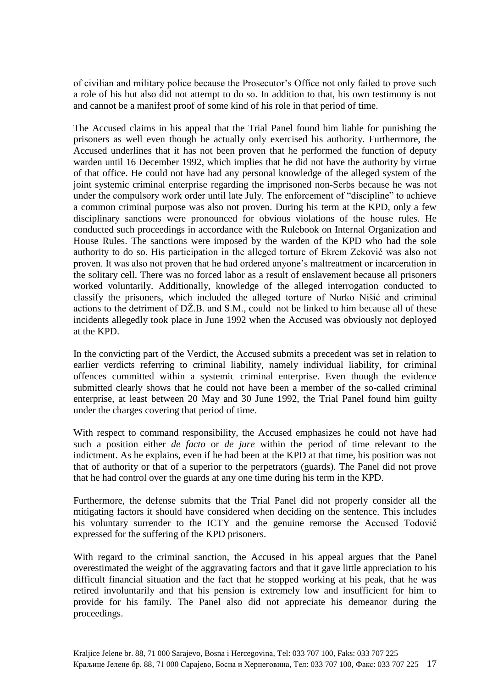of civilian and military police because the Prosecutor's Office not only failed to prove such a role of his but also did not attempt to do so. In addition to that, his own testimony is not and cannot be a manifest proof of some kind of his role in that period of time.

The Accused claims in his appeal that the Trial Panel found him liable for punishing the prisoners as well even though he actually only exercised his authority. Furthermore, the Accused underlines that it has not been proven that he performed the function of deputy warden until 16 December 1992, which implies that he did not have the authority by virtue of that office. He could not have had any personal knowledge of the alleged system of the joint systemic criminal enterprise regarding the imprisoned non-Serbs because he was not under the compulsory work order until late July. The enforcement of "discipline" to achieve a common criminal purpose was also not proven. During his term at the KPD, only a few disciplinary sanctions were pronounced for obvious violations of the house rules. He conducted such proceedings in accordance with the Rulebook on Internal Organization and House Rules. The sanctions were imposed by the warden of the KPD who had the sole authority to do so. His participation in the alleged torture of Ekrem Zeković was also not proven. It was also not proven that he had ordered anyone's maltreatment or incarceration in the solitary cell. There was no forced labor as a result of enslavement because all prisoners worked voluntarily. Additionally, knowledge of the alleged interrogation conducted to classify the prisoners, which included the alleged torture of Nurko Nišić and criminal actions to the detriment of DŽ.B. and S.M., could not be linked to him because all of these incidents allegedly took place in June 1992 when the Accused was obviously not deployed at the KPD.

In the convicting part of the Verdict, the Accused submits a precedent was set in relation to earlier verdicts referring to criminal liability, namely individual liability, for criminal offences committed within a systemic criminal enterprise. Even though the evidence submitted clearly shows that he could not have been a member of the so-called criminal enterprise, at least between 20 May and 30 June 1992, the Trial Panel found him guilty under the charges covering that period of time.

With respect to command responsibility, the Accused emphasizes he could not have had such a position either *de facto* or *de jure* within the period of time relevant to the indictment. As he explains, even if he had been at the KPD at that time, his position was not that of authority or that of a superior to the perpetrators (guards). The Panel did not prove that he had control over the guards at any one time during his term in the KPD.

Furthermore, the defense submits that the Trial Panel did not properly consider all the mitigating factors it should have considered when deciding on the sentence. This includes his voluntary surrender to the ICTY and the genuine remorse the Accused Todović expressed for the suffering of the KPD prisoners.

With regard to the criminal sanction, the Accused in his appeal argues that the Panel overestimated the weight of the aggravating factors and that it gave little appreciation to his difficult financial situation and the fact that he stopped working at his peak, that he was retired involuntarily and that his pension is extremely low and insufficient for him to provide for his family. The Panel also did not appreciate his demeanor during the proceedings.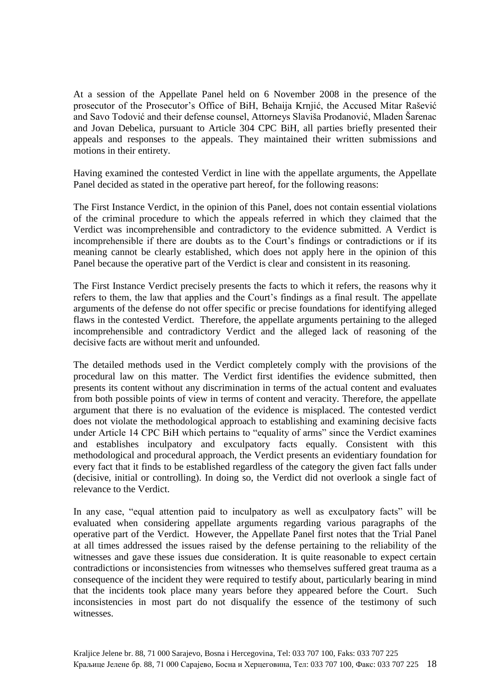At a session of the Appellate Panel held on 6 November 2008 in the presence of the prosecutor of the Prosecutor's Office of BiH, Behaija Krnjić, the Accused Mitar Rašević and Savo Todović and their defense counsel, Attorneys Slaviša Prodanović, Mladen Šarenac and Jovan Debelica, pursuant to Article 304 CPC BiH, all parties briefly presented their appeals and responses to the appeals. They maintained their written submissions and motions in their entirety.

Having examined the contested Verdict in line with the appellate arguments, the Appellate Panel decided as stated in the operative part hereof, for the following reasons:

The First Instance Verdict, in the opinion of this Panel, does not contain essential violations of the criminal procedure to which the appeals referred in which they claimed that the Verdict was incomprehensible and contradictory to the evidence submitted. A Verdict is incomprehensible if there are doubts as to the Court's findings or contradictions or if its meaning cannot be clearly established, which does not apply here in the opinion of this Panel because the operative part of the Verdict is clear and consistent in its reasoning.

The First Instance Verdict precisely presents the facts to which it refers, the reasons why it refers to them, the law that applies and the Court's findings as a final result. The appellate arguments of the defense do not offer specific or precise foundations for identifying alleged flaws in the contested Verdict. Therefore, the appellate arguments pertaining to the alleged incomprehensible and contradictory Verdict and the alleged lack of reasoning of the decisive facts are without merit and unfounded.

The detailed methods used in the Verdict completely comply with the provisions of the procedural law on this matter. The Verdict first identifies the evidence submitted, then presents its content without any discrimination in terms of the actual content and evaluates from both possible points of view in terms of content and veracity. Therefore, the appellate argument that there is no evaluation of the evidence is misplaced. The contested verdict does not violate the methodological approach to establishing and examining decisive facts under Article 14 CPC BiH which pertains to "equality of arms" since the Verdict examines and establishes inculpatory and exculpatory facts equally. Consistent with this methodological and procedural approach, the Verdict presents an evidentiary foundation for every fact that it finds to be established regardless of the category the given fact falls under (decisive, initial or controlling). In doing so, the Verdict did not overlook a single fact of relevance to the Verdict.

In any case, "equal attention paid to inculpatory as well as exculpatory facts" will be evaluated when considering appellate arguments regarding various paragraphs of the operative part of the Verdict. However, the Appellate Panel first notes that the Trial Panel at all times addressed the issues raised by the defense pertaining to the reliability of the witnesses and gave these issues due consideration. It is quite reasonable to expect certain contradictions or inconsistencies from witnesses who themselves suffered great trauma as a consequence of the incident they were required to testify about, particularly bearing in mind that the incidents took place many years before they appeared before the Court. Such inconsistencies in most part do not disqualify the essence of the testimony of such witnesses.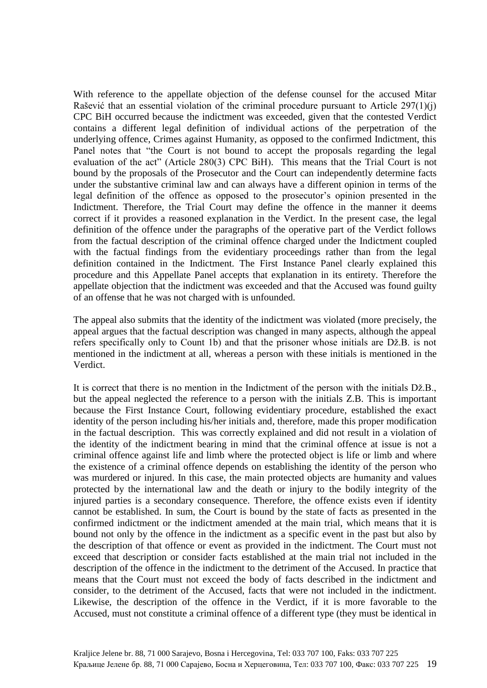With reference to the appellate objection of the defense counsel for the accused Mitar Rašević that an essential violation of the criminal procedure pursuant to Article 297(1)(j) CPC BiH occurred because the indictment was exceeded, given that the contested Verdict contains a different legal definition of individual actions of the perpetration of the underlying offence, Crimes against Humanity, as opposed to the confirmed Indictment, this Panel notes that "the Court is not bound to accept the proposals regarding the legal evaluation of the act" (Article 280(3) CPC BiH). This means that the Trial Court is not bound by the proposals of the Prosecutor and the Court can independently determine facts under the substantive criminal law and can always have a different opinion in terms of the legal definition of the offence as opposed to the prosecutor's opinion presented in the Indictment. Therefore, the Trial Court may define the offence in the manner it deems correct if it provides a reasoned explanation in the Verdict. In the present case, the legal definition of the offence under the paragraphs of the operative part of the Verdict follows from the factual description of the criminal offence charged under the Indictment coupled with the factual findings from the evidentiary proceedings rather than from the legal definition contained in the Indictment. The First Instance Panel clearly explained this procedure and this Appellate Panel accepts that explanation in its entirety. Therefore the appellate objection that the indictment was exceeded and that the Accused was found guilty of an offense that he was not charged with is unfounded.

The appeal also submits that the identity of the indictment was violated (more precisely, the appeal argues that the factual description was changed in many aspects, although the appeal refers specifically only to Count 1b) and that the prisoner whose initials are Dž.B. is not mentioned in the indictment at all, whereas a person with these initials is mentioned in the Verdict.

It is correct that there is no mention in the Indictment of the person with the initials Dž.B., but the appeal neglected the reference to a person with the initials Z.B. This is important because the First Instance Court, following evidentiary procedure, established the exact identity of the person including his/her initials and, therefore, made this proper modification in the factual description. This was correctly explained and did not result in a violation of the identity of the indictment bearing in mind that the criminal offence at issue is not a criminal offence against life and limb where the protected object is life or limb and where the existence of a criminal offence depends on establishing the identity of the person who was murdered or injured. In this case, the main protected objects are humanity and values protected by the international law and the death or injury to the bodily integrity of the injured parties is a secondary consequence. Therefore, the offence exists even if identity cannot be established. In sum, the Court is bound by the state of facts as presented in the confirmed indictment or the indictment amended at the main trial, which means that it is bound not only by the offence in the indictment as a specific event in the past but also by the description of that offence or event as provided in the indictment. The Court must not exceed that description or consider facts established at the main trial not included in the description of the offence in the indictment to the detriment of the Accused. In practice that means that the Court must not exceed the body of facts described in the indictment and consider, to the detriment of the Accused, facts that were not included in the indictment. Likewise, the description of the offence in the Verdict, if it is more favorable to the Accused, must not constitute a criminal offence of a different type (they must be identical in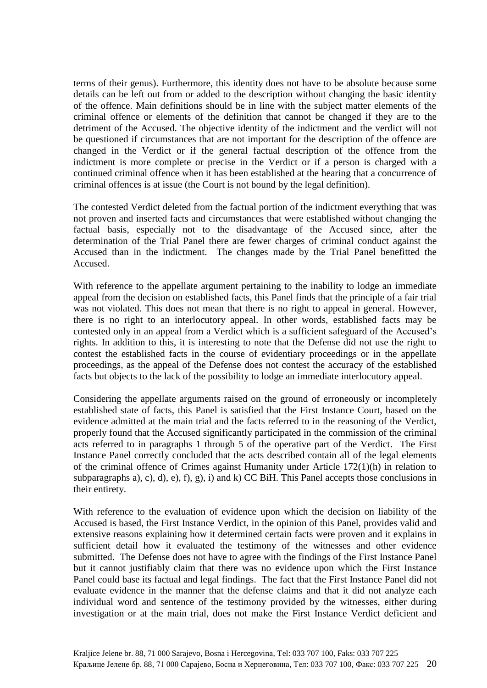terms of their genus). Furthermore, this identity does not have to be absolute because some details can be left out from or added to the description without changing the basic identity of the offence. Main definitions should be in line with the subject matter elements of the criminal offence or elements of the definition that cannot be changed if they are to the detriment of the Accused. The objective identity of the indictment and the verdict will not be questioned if circumstances that are not important for the description of the offence are changed in the Verdict or if the general factual description of the offence from the indictment is more complete or precise in the Verdict or if a person is charged with a continued criminal offence when it has been established at the hearing that a concurrence of criminal offences is at issue (the Court is not bound by the legal definition).

The contested Verdict deleted from the factual portion of the indictment everything that was not proven and inserted facts and circumstances that were established without changing the factual basis, especially not to the disadvantage of the Accused since, after the determination of the Trial Panel there are fewer charges of criminal conduct against the Accused than in the indictment. The changes made by the Trial Panel benefitted the Accused.

With reference to the appellate argument pertaining to the inability to lodge an immediate appeal from the decision on established facts, this Panel finds that the principle of a fair trial was not violated. This does not mean that there is no right to appeal in general. However, there is no right to an interlocutory appeal. In other words, established facts may be contested only in an appeal from a Verdict which is a sufficient safeguard of the Accused's rights. In addition to this, it is interesting to note that the Defense did not use the right to contest the established facts in the course of evidentiary proceedings or in the appellate proceedings, as the appeal of the Defense does not contest the accuracy of the established facts but objects to the lack of the possibility to lodge an immediate interlocutory appeal.

Considering the appellate arguments raised on the ground of erroneously or incompletely established state of facts, this Panel is satisfied that the First Instance Court, based on the evidence admitted at the main trial and the facts referred to in the reasoning of the Verdict, properly found that the Accused significantly participated in the commission of the criminal acts referred to in paragraphs 1 through 5 of the operative part of the Verdict. The First Instance Panel correctly concluded that the acts described contain all of the legal elements of the criminal offence of Crimes against Humanity under Article 172(1)(h) in relation to subparagraphs a), c), d), e), f), g), i) and k) CC BiH. This Panel accepts those conclusions in their entirety.

With reference to the evaluation of evidence upon which the decision on liability of the Accused is based, the First Instance Verdict, in the opinion of this Panel, provides valid and extensive reasons explaining how it determined certain facts were proven and it explains in sufficient detail how it evaluated the testimony of the witnesses and other evidence submitted. The Defense does not have to agree with the findings of the First Instance Panel but it cannot justifiably claim that there was no evidence upon which the First Instance Panel could base its factual and legal findings. The fact that the First Instance Panel did not evaluate evidence in the manner that the defense claims and that it did not analyze each individual word and sentence of the testimony provided by the witnesses, either during investigation or at the main trial, does not make the First Instance Verdict deficient and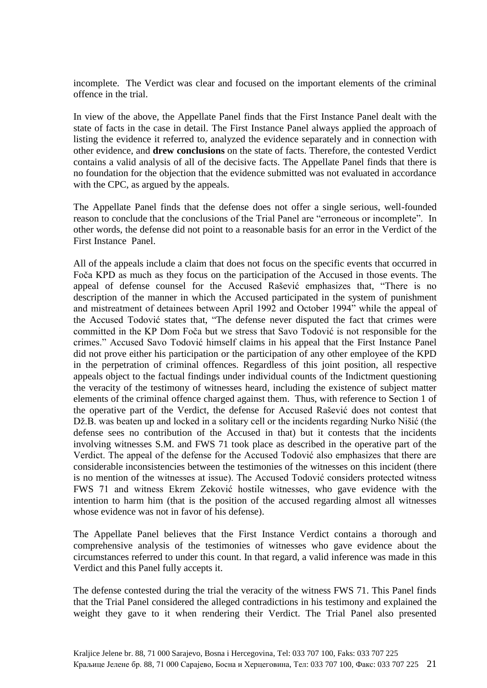incomplete. The Verdict was clear and focused on the important elements of the criminal offence in the trial.

In view of the above, the Appellate Panel finds that the First Instance Panel dealt with the state of facts in the case in detail. The First Instance Panel always applied the approach of listing the evidence it referred to, analyzed the evidence separately and in connection with other evidence, and **drew conclusions** on the state of facts. Therefore, the contested Verdict contains a valid analysis of all of the decisive facts. The Appellate Panel finds that there is no foundation for the objection that the evidence submitted was not evaluated in accordance with the CPC, as argued by the appeals.

The Appellate Panel finds that the defense does not offer a single serious, well-founded reason to conclude that the conclusions of the Trial Panel are "erroneous or incomplete". In other words, the defense did not point to a reasonable basis for an error in the Verdict of the First Instance Panel.

All of the appeals include a claim that does not focus on the specific events that occurred in Foča KPD as much as they focus on the participation of the Accused in those events. The appeal of defense counsel for the Accused Rašević emphasizes that, "There is no description of the manner in which the Accused participated in the system of punishment and mistreatment of detainees between April 1992 and October 1994" while the appeal of the Accused Todović states that, "The defense never disputed the fact that crimes were committed in the KP Dom Foča but we stress that Savo Todović is not responsible for the crimes." Accused Savo Todović himself claims in his appeal that the First Instance Panel did not prove either his participation or the participation of any other employee of the KPD in the perpetration of criminal offences. Regardless of this joint position, all respective appeals object to the factual findings under individual counts of the Indictment questioning the veracity of the testimony of witnesses heard, including the existence of subject matter elements of the criminal offence charged against them. Thus, with reference to Section 1 of the operative part of the Verdict, the defense for Accused Rašević does not contest that Dž.B. was beaten up and locked in a solitary cell or the incidents regarding Nurko Nišić (the defense sees no contribution of the Accused in that) but it contests that the incidents involving witnesses S.M. and FWS 71 took place as described in the operative part of the Verdict. The appeal of the defense for the Accused Todović also emphasizes that there are considerable inconsistencies between the testimonies of the witnesses on this incident (there is no mention of the witnesses at issue). The Accused Todović considers protected witness FWS 71 and witness Ekrem Zeković hostile witnesses, who gave evidence with the intention to harm him (that is the position of the accused regarding almost all witnesses whose evidence was not in favor of his defense).

The Appellate Panel believes that the First Instance Verdict contains a thorough and comprehensive analysis of the testimonies of witnesses who gave evidence about the circumstances referred to under this count. In that regard, a valid inference was made in this Verdict and this Panel fully accepts it.

The defense contested during the trial the veracity of the witness FWS 71. This Panel finds that the Trial Panel considered the alleged contradictions in his testimony and explained the weight they gave to it when rendering their Verdict. The Trial Panel also presented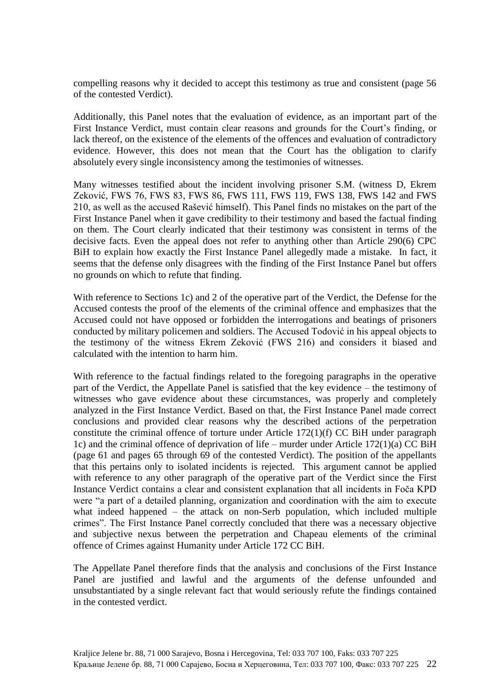compelling reasons why it decided to accept this testimony as true and consistent (page 56 of the contested Verdict).

Additionally, this Panel notes that the evaluation of evidence, as an important part of the First Instance Verdict, must contain clear reasons and grounds for the Court's finding, or lack thereof, on the existence of the elements of the offences and evaluation of contradictory evidence. However, this does not mean that the Court has the obligation to clarify absolutely every single inconsistency among the testimonies of witnesses.

Many witnesses testified about the incident involving prisoner S.M. (witness D, Ekrem Zeković, FWS 76, FWS 83, FWS 86, FWS 111, FWS 119, FWS 138, FWS 142 and FWS 210, as well as the accused Rašević himself). This Panel finds no mistakes on the part of the First Instance Panel when it gave credibility to their testimony and based the factual finding on them. The Court clearly indicated that their testimony was consistent in terms of the decisive facts. Even the appeal does not refer to anything other than Article 290(6) CPC BiH to explain how exactly the First Instance Panel allegedly made a mistake. In fact, it seems that the defense only disagrees with the finding of the First Instance Panel but offers no grounds on which to refute that finding.

With reference to Sections 1c) and 2 of the operative part of the Verdict, the Defense for the Accused contests the proof of the elements of the criminal offence and emphasizes that the Accused could not have opposed or forbidden the interrogations and beatings of prisoners conducted by military policemen and soldiers. The Accused Todović in his appeal objects to the testimony of the witness Ekrem Zeković (FWS 216) and considers it biased and calculated with the intention to harm him.

With reference to the factual findings related to the foregoing paragraphs in the operative part of the Verdict, the Appellate Panel is satisfied that the key evidence – the testimony of witnesses who gave evidence about these circumstances, was properly and completely analyzed in the First Instance Verdict. Based on that, the First Instance Panel made correct conclusions and provided clear reasons why the described actions of the perpetration constitute the criminal offence of torture under Article 172(1)(f) CC BiH under paragraph 1c) and the criminal offence of deprivation of life – murder under Article 172(1)(a) CC BiH (page 61 and pages 65 through 69 of the contested Verdict). The position of the appellants that this pertains only to isolated incidents is rejected. This argument cannot be applied with reference to any other paragraph of the operative part of the Verdict since the First Instance Verdict contains a clear and consistent explanation that all incidents in Foča KPD were "a part of a detailed planning, organization and coordination with the aim to execute what indeed happened – the attack on non-Serb population, which included multiple crimes". The First Instance Panel correctly concluded that there was a necessary objective and subjective nexus between the perpetration and Chapeau elements of the criminal offence of Crimes against Humanity under Article 172 CC BiH.

The Appellate Panel therefore finds that the analysis and conclusions of the First Instance Panel are justified and lawful and the arguments of the defense unfounded and unsubstantiated by a single relevant fact that would seriously refute the findings contained in the contested verdict.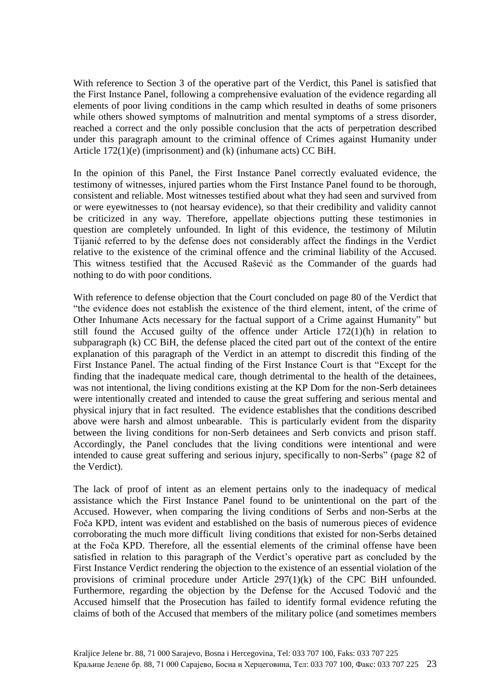With reference to Section 3 of the operative part of the Verdict, this Panel is satisfied that the First Instance Panel, following a comprehensive evaluation of the evidence regarding all elements of poor living conditions in the camp which resulted in deaths of some prisoners while others showed symptoms of malnutrition and mental symptoms of a stress disorder, reached a correct and the only possible conclusion that the acts of perpetration described under this paragraph amount to the criminal offence of Crimes against Humanity under Article 172(1)(e) (imprisonment) and (k) (inhumane acts) CC BiH.

In the opinion of this Panel, the First Instance Panel correctly evaluated evidence, the testimony of witnesses, injured parties whom the First Instance Panel found to be thorough, consistent and reliable. Most witnesses testified about what they had seen and survived from or were eyewitnesses to (not hearsay evidence), so that their credibility and validity cannot be criticized in any way. Therefore, appellate objections putting these testimonies in question are completely unfounded. In light of this evidence, the testimony of Milutin Tijanić referred to by the defense does not considerably affect the findings in the Verdict relative to the existence of the criminal offence and the criminal liability of the Accused. This witness testified that the Accused Rašević as the Commander of the guards had nothing to do with poor conditions.

With reference to defense objection that the Court concluded on page 80 of the Verdict that "the evidence does not establish the existence of the third element, intent, of the crime of Other Inhumane Acts necessary for the factual support of a Crime against Humanity" but still found the Accused guilty of the offence under Article 172(1)(h) in relation to subparagraph (k) CC BiH, the defense placed the cited part out of the context of the entire explanation of this paragraph of the Verdict in an attempt to discredit this finding of the First Instance Panel. The actual finding of the First Instance Court is that "Except for the finding that the inadequate medical care, though detrimental to the health of the detainees, was not intentional, the living conditions existing at the KP Dom for the non-Serb detainees were intentionally created and intended to cause the great suffering and serious mental and physical injury that in fact resulted. The evidence establishes that the conditions described above were harsh and almost unbearable. This is particularly evident from the disparity between the living conditions for non-Serb detainees and Serb convicts and prison staff. Accordingly, the Panel concludes that the living conditions were intentional and were intended to cause great suffering and serious injury, specifically to non-Serbs" (page 82 of the Verdict).

The lack of proof of intent as an element pertains only to the inadequacy of medical assistance which the First Instance Panel found to be unintentional on the part of the Accused. However, when comparing the living conditions of Serbs and non-Serbs at the Foča KPD, intent was evident and established on the basis of numerous pieces of evidence corroborating the much more difficult living conditions that existed for non-Serbs detained at the Foča KPD. Therefore, all the essential elements of the criminal offense have been satisfied in relation to this paragraph of the Verdict's operative part as concluded by the First Instance Verdict rendering the objection to the existence of an essential violation of the provisions of criminal procedure under Article 297(1)(k) of the CPC BiH unfounded. Furthermore, regarding the objection by the Defense for the Accused Todović and the Accused himself that the Prosecution has failed to identify formal evidence refuting the claims of both of the Accused that members of the military police (and sometimes members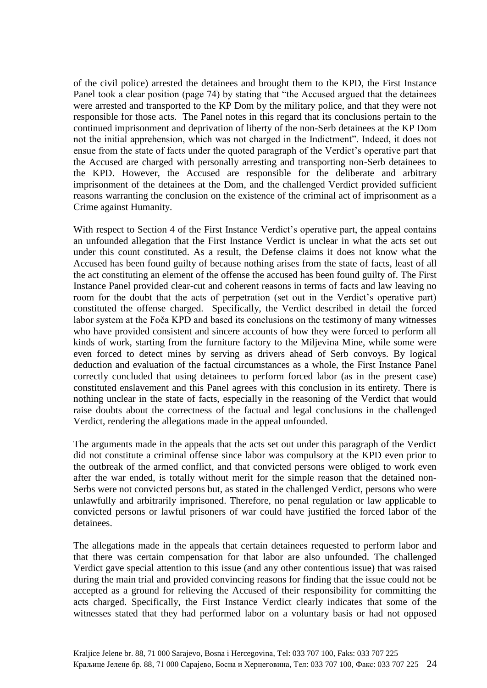of the civil police) arrested the detainees and brought them to the KPD, the First Instance Panel took a clear position (page 74) by stating that "the Accused argued that the detainees were arrested and transported to the KP Dom by the military police, and that they were not responsible for those acts. The Panel notes in this regard that its conclusions pertain to the continued imprisonment and deprivation of liberty of the non-Serb detainees at the KP Dom not the initial apprehension, which was not charged in the Indictment". Indeed, it does not ensue from the state of facts under the quoted paragraph of the Verdict's operative part that the Accused are charged with personally arresting and transporting non-Serb detainees to the KPD. However, the Accused are responsible for the deliberate and arbitrary imprisonment of the detainees at the Dom, and the challenged Verdict provided sufficient reasons warranting the conclusion on the existence of the criminal act of imprisonment as a Crime against Humanity.

With respect to Section 4 of the First Instance Verdict's operative part, the appeal contains an unfounded allegation that the First Instance Verdict is unclear in what the acts set out under this count constituted. As a result, the Defense claims it does not know what the Accused has been found guilty of because nothing arises from the state of facts, least of all the act constituting an element of the offense the accused has been found guilty of. The First Instance Panel provided clear-cut and coherent reasons in terms of facts and law leaving no room for the doubt that the acts of perpetration (set out in the Verdict's operative part) constituted the offense charged. Specifically, the Verdict described in detail the forced labor system at the Foča KPD and based its conclusions on the testimony of many witnesses who have provided consistent and sincere accounts of how they were forced to perform all kinds of work, starting from the furniture factory to the Miljevina Mine, while some were even forced to detect mines by serving as drivers ahead of Serb convoys. By logical deduction and evaluation of the factual circumstances as a whole, the First Instance Panel correctly concluded that using detainees to perform forced labor (as in the present case) constituted enslavement and this Panel agrees with this conclusion in its entirety. There is nothing unclear in the state of facts, especially in the reasoning of the Verdict that would raise doubts about the correctness of the factual and legal conclusions in the challenged Verdict, rendering the allegations made in the appeal unfounded.

The arguments made in the appeals that the acts set out under this paragraph of the Verdict did not constitute a criminal offense since labor was compulsory at the KPD even prior to the outbreak of the armed conflict, and that convicted persons were obliged to work even after the war ended, is totally without merit for the simple reason that the detained non-Serbs were not convicted persons but, as stated in the challenged Verdict, persons who were unlawfully and arbitrarily imprisoned. Therefore, no penal regulation or law applicable to convicted persons or lawful prisoners of war could have justified the forced labor of the detainees.

The allegations made in the appeals that certain detainees requested to perform labor and that there was certain compensation for that labor are also unfounded. The challenged Verdict gave special attention to this issue (and any other contentious issue) that was raised during the main trial and provided convincing reasons for finding that the issue could not be accepted as a ground for relieving the Accused of their responsibility for committing the acts charged. Specifically, the First Instance Verdict clearly indicates that some of the witnesses stated that they had performed labor on a voluntary basis or had not opposed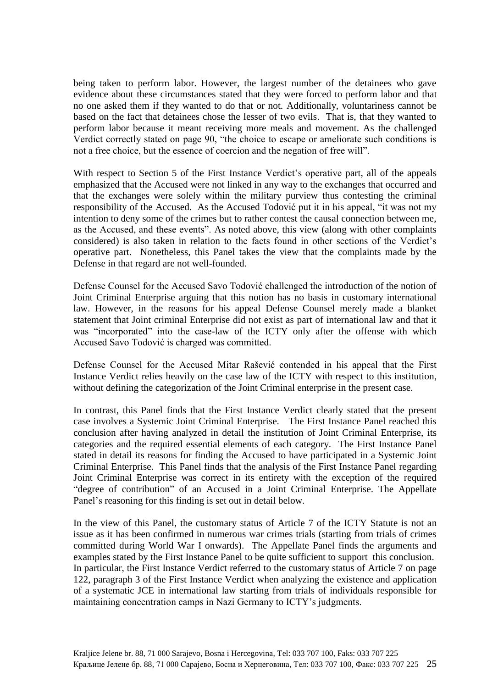being taken to perform labor. However, the largest number of the detainees who gave evidence about these circumstances stated that they were forced to perform labor and that no one asked them if they wanted to do that or not. Additionally, voluntariness cannot be based on the fact that detainees chose the lesser of two evils. That is, that they wanted to perform labor because it meant receiving more meals and movement. As the challenged Verdict correctly stated on page 90, "the choice to escape or ameliorate such conditions is not a free choice, but the essence of coercion and the negation of free will".

With respect to Section 5 of the First Instance Verdict's operative part, all of the appeals emphasized that the Accused were not linked in any way to the exchanges that occurred and that the exchanges were solely within the military purview thus contesting the criminal responsibility of the Accused. As the Accused Todović put it in his appeal, "it was not my intention to deny some of the crimes but to rather contest the causal connection between me, as the Accused, and these events". As noted above, this view (along with other complaints considered) is also taken in relation to the facts found in other sections of the Verdict's operative part. Nonetheless, this Panel takes the view that the complaints made by the Defense in that regard are not well-founded.

Defense Counsel for the Accused Savo Todović challenged the introduction of the notion of Joint Criminal Enterprise arguing that this notion has no basis in customary international law. However, in the reasons for his appeal Defense Counsel merely made a blanket statement that Joint criminal Enterprise did not exist as part of international law and that it was "incorporated" into the case-law of the ICTY only after the offense with which Accused Savo Todović is charged was committed.

Defense Counsel for the Accused Mitar Rašević contended in his appeal that the First Instance Verdict relies heavily on the case law of the ICTY with respect to this institution, without defining the categorization of the Joint Criminal enterprise in the present case.

In contrast, this Panel finds that the First Instance Verdict clearly stated that the present case involves a Systemic Joint Criminal Enterprise. The First Instance Panel reached this conclusion after having analyzed in detail the institution of Joint Criminal Enterprise, its categories and the required essential elements of each category. The First Instance Panel stated in detail its reasons for finding the Accused to have participated in a Systemic Joint Criminal Enterprise. This Panel finds that the analysis of the First Instance Panel regarding Joint Criminal Enterprise was correct in its entirety with the exception of the required "degree of contribution" of an Accused in a Joint Criminal Enterprise. The Appellate Panel's reasoning for this finding is set out in detail below.

In the view of this Panel, the customary status of Article 7 of the ICTY Statute is not an issue as it has been confirmed in numerous war crimes trials (starting from trials of crimes committed during World War I onwards). The Appellate Panel finds the arguments and examples stated by the First Instance Panel to be quite sufficient to support this conclusion. In particular, the First Instance Verdict referred to the customary status of Article 7 on page 122, paragraph 3 of the First Instance Verdict when analyzing the existence and application of a systematic JCE in international law starting from trials of individuals responsible for maintaining concentration camps in Nazi Germany to ICTY's judgments.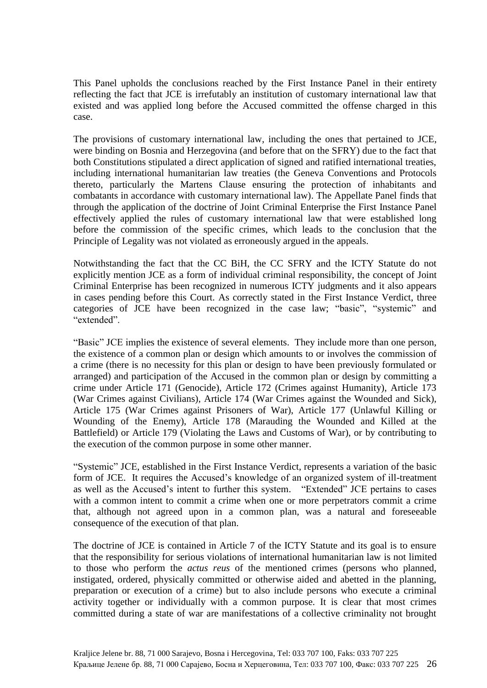This Panel upholds the conclusions reached by the First Instance Panel in their entirety reflecting the fact that JCE is irrefutably an institution of customary international law that existed and was applied long before the Accused committed the offense charged in this case.

The provisions of customary international law, including the ones that pertained to JCE, were binding on Bosnia and Herzegovina (and before that on the SFRY) due to the fact that both Constitutions stipulated a direct application of signed and ratified international treaties, including international humanitarian law treaties (the Geneva Conventions and Protocols thereto, particularly the Martens Clause ensuring the protection of inhabitants and combatants in accordance with customary international law). The Appellate Panel finds that through the application of the doctrine of Joint Criminal Enterprise the First Instance Panel effectively applied the rules of customary international law that were established long before the commission of the specific crimes, which leads to the conclusion that the Principle of Legality was not violated as erroneously argued in the appeals.

Notwithstanding the fact that the CC BiH, the CC SFRY and the ICTY Statute do not explicitly mention JCE as a form of individual criminal responsibility, the concept of Joint Criminal Enterprise has been recognized in numerous ICTY judgments and it also appears in cases pending before this Court. As correctly stated in the First Instance Verdict, three categories of JCE have been recognized in the case law; "basic", "systemic" and "extended".

"Basic" JCE implies the existence of several elements. They include more than one person, the existence of a common plan or design which amounts to or involves the commission of a crime (there is no necessity for this plan or design to have been previously formulated or arranged) and participation of the Accused in the common plan or design by committing a crime under Article 171 (Genocide), Article 172 (Crimes against Humanity), Article 173 (War Crimes against Civilians), Article 174 (War Crimes against the Wounded and Sick), Article 175 (War Crimes against Prisoners of War), Article 177 (Unlawful Killing or Wounding of the Enemy), Article 178 (Marauding the Wounded and Killed at the Battlefield) or Article 179 (Violating the Laws and Customs of War), or by contributing to the execution of the common purpose in some other manner.

"Systemic" JCE, established in the First Instance Verdict, represents a variation of the basic form of JCE. It requires the Accused's knowledge of an organized system of ill-treatment as well as the Accused's intent to further this system. "Extended" JCE pertains to cases with a common intent to commit a crime when one or more perpetrators commit a crime that, although not agreed upon in a common plan, was a natural and foreseeable consequence of the execution of that plan.

The doctrine of JCE is contained in Article 7 of the ICTY Statute and its goal is to ensure that the responsibility for serious violations of international humanitarian law is not limited to those who perform the *actus reus* of the mentioned crimes (persons who planned, instigated, ordered, physically committed or otherwise aided and abetted in the planning, preparation or execution of a crime) but to also include persons who execute a criminal activity together or individually with a common purpose. It is clear that most crimes committed during a state of war are manifestations of a collective criminality not brought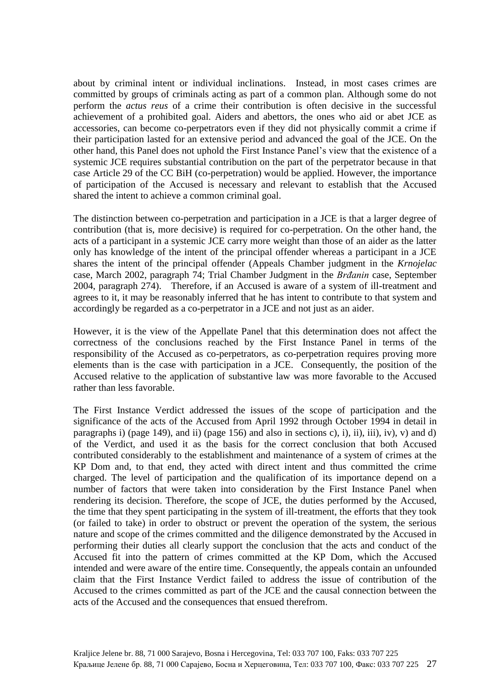about by criminal intent or individual inclinations. Instead, in most cases crimes are committed by groups of criminals acting as part of a common plan. Although some do not perform the *actus reus* of a crime their contribution is often decisive in the successful achievement of a prohibited goal. Aiders and abettors, the ones who aid or abet JCE as accessories, can become co-perpetrators even if they did not physically commit a crime if their participation lasted for an extensive period and advanced the goal of the JCE. On the other hand, this Panel does not uphold the First Instance Panel's view that the existence of a systemic JCE requires substantial contribution on the part of the perpetrator because in that case Article 29 of the CC BiH (co-perpetration) would be applied. However, the importance of participation of the Accused is necessary and relevant to establish that the Accused shared the intent to achieve a common criminal goal.

The distinction between co-perpetration and participation in a JCE is that a larger degree of contribution (that is, more decisive) is required for co-perpetration. On the other hand, the acts of a participant in a systemic JCE carry more weight than those of an aider as the latter only has knowledge of the intent of the principal offender whereas a participant in a JCE shares the intent of the principal offender (Appeals Chamber judgment in the *Krnojelac* case, March 2002, paragraph 74; Trial Chamber Judgment in the *Brđanin* case, September 2004, paragraph 274). Therefore, if an Accused is aware of a system of ill-treatment and agrees to it, it may be reasonably inferred that he has intent to contribute to that system and accordingly be regarded as a co-perpetrator in a JCE and not just as an aider.

However, it is the view of the Appellate Panel that this determination does not affect the correctness of the conclusions reached by the First Instance Panel in terms of the responsibility of the Accused as co-perpetrators, as co-perpetration requires proving more elements than is the case with participation in a JCE. Consequently, the position of the Accused relative to the application of substantive law was more favorable to the Accused rather than less favorable.

The First Instance Verdict addressed the issues of the scope of participation and the significance of the acts of the Accused from April 1992 through October 1994 in detail in paragraphs i) (page 149), and ii) (page 156) and also in sections c), i), ii), iii), iv), v) and d) of the Verdict, and used it as the basis for the correct conclusion that both Accused contributed considerably to the establishment and maintenance of a system of crimes at the KP Dom and, to that end, they acted with direct intent and thus committed the crime charged. The level of participation and the qualification of its importance depend on a number of factors that were taken into consideration by the First Instance Panel when rendering its decision. Therefore, the scope of JCE, the duties performed by the Accused, the time that they spent participating in the system of ill-treatment, the efforts that they took (or failed to take) in order to obstruct or prevent the operation of the system, the serious nature and scope of the crimes committed and the diligence demonstrated by the Accused in performing their duties all clearly support the conclusion that the acts and conduct of the Accused fit into the pattern of crimes committed at the KP Dom, which the Accused intended and were aware of the entire time. Consequently, the appeals contain an unfounded claim that the First Instance Verdict failed to address the issue of contribution of the Accused to the crimes committed as part of the JCE and the causal connection between the acts of the Accused and the consequences that ensued therefrom.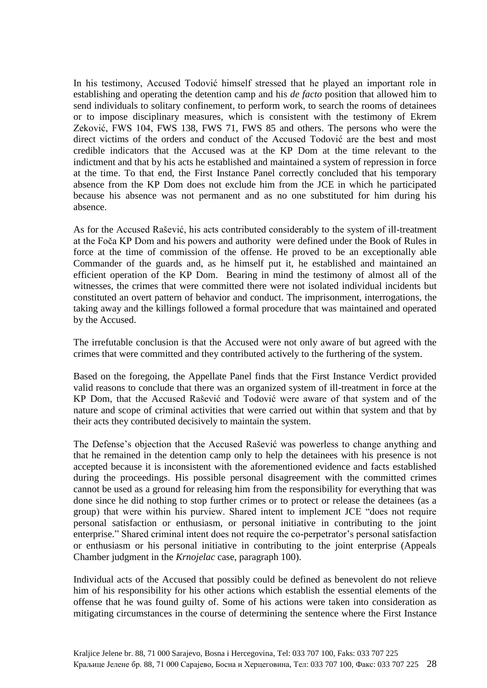In his testimony, Accused Todović himself stressed that he played an important role in establishing and operating the detention camp and his *de facto* position that allowed him to send individuals to solitary confinement, to perform work, to search the rooms of detainees or to impose disciplinary measures, which is consistent with the testimony of Ekrem Zeković, FWS 104, FWS 138, FWS 71, FWS 85 and others. The persons who were the direct victims of the orders and conduct of the Accused Todović are the best and most credible indicators that the Accused was at the KP Dom at the time relevant to the indictment and that by his acts he established and maintained a system of repression in force at the time. To that end, the First Instance Panel correctly concluded that his temporary absence from the KP Dom does not exclude him from the JCE in which he participated because his absence was not permanent and as no one substituted for him during his absence.

As for the Accused Rašević, his acts contributed considerably to the system of ill-treatment at the Foča KP Dom and his powers and authority were defined under the Book of Rules in force at the time of commission of the offense. He proved to be an exceptionally able Commander of the guards and, as he himself put it, he established and maintained an efficient operation of the KP Dom. Bearing in mind the testimony of almost all of the witnesses, the crimes that were committed there were not isolated individual incidents but constituted an overt pattern of behavior and conduct. The imprisonment, interrogations, the taking away and the killings followed a formal procedure that was maintained and operated by the Accused.

The irrefutable conclusion is that the Accused were not only aware of but agreed with the crimes that were committed and they contributed actively to the furthering of the system.

Based on the foregoing, the Appellate Panel finds that the First Instance Verdict provided valid reasons to conclude that there was an organized system of ill-treatment in force at the KP Dom, that the Accused Rašević and Todović were aware of that system and of the nature and scope of criminal activities that were carried out within that system and that by their acts they contributed decisively to maintain the system.

The Defense's objection that the Accused Rašević was powerless to change anything and that he remained in the detention camp only to help the detainees with his presence is not accepted because it is inconsistent with the aforementioned evidence and facts established during the proceedings. His possible personal disagreement with the committed crimes cannot be used as a ground for releasing him from the responsibility for everything that was done since he did nothing to stop further crimes or to protect or release the detainees (as a group) that were within his purview. Shared intent to implement JCE "does not require personal satisfaction or enthusiasm, or personal initiative in contributing to the joint enterprise." Shared criminal intent does not require the co-perpetrator's personal satisfaction or enthusiasm or his personal initiative in contributing to the joint enterprise (Appeals Chamber judgment in the *Krnojelac* case, paragraph 100).

Individual acts of the Accused that possibly could be defined as benevolent do not relieve him of his responsibility for his other actions which establish the essential elements of the offense that he was found guilty of. Some of his actions were taken into consideration as mitigating circumstances in the course of determining the sentence where the First Instance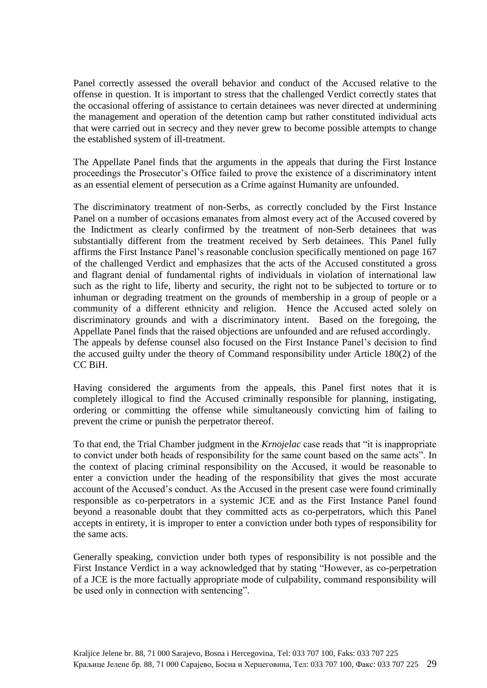Panel correctly assessed the overall behavior and conduct of the Accused relative to the offense in question. It is important to stress that the challenged Verdict correctly states that the occasional offering of assistance to certain detainees was never directed at undermining the management and operation of the detention camp but rather constituted individual acts that were carried out in secrecy and they never grew to become possible attempts to change the established system of ill-treatment.

The Appellate Panel finds that the arguments in the appeals that during the First Instance proceedings the Prosecutor's Office failed to prove the existence of a discriminatory intent as an essential element of persecution as a Crime against Humanity are unfounded.

The discriminatory treatment of non-Serbs, as correctly concluded by the First Instance Panel on a number of occasions emanates from almost every act of the Accused covered by the Indictment as clearly confirmed by the treatment of non-Serb detainees that was substantially different from the treatment received by Serb detainees. This Panel fully affirms the First Instance Panel's reasonable conclusion specifically mentioned on page 167 of the challenged Verdict and emphasizes that the acts of the Accused constituted a gross and flagrant denial of fundamental rights of individuals in violation of international law such as the right to life, liberty and security, the right not to be subjected to torture or to inhuman or degrading treatment on the grounds of membership in a group of people or a community of a different ethnicity and religion. Hence the Accused acted solely on discriminatory grounds and with a discriminatory intent. Based on the foregoing, the Appellate Panel finds that the raised objections are unfounded and are refused accordingly. The appeals by defense counsel also focused on the First Instance Panel's decision to find the accused guilty under the theory of Command responsibility under Article 180(2) of the CC BiH.

Having considered the arguments from the appeals, this Panel first notes that it is completely illogical to find the Accused criminally responsible for planning, instigating, ordering or committing the offense while simultaneously convicting him of failing to prevent the crime or punish the perpetrator thereof.

To that end, the Trial Chamber judgment in the *Krnojelac* case reads that "it is inappropriate to convict under both heads of responsibility for the same count based on the same acts". In the context of placing criminal responsibility on the Accused, it would be reasonable to enter a conviction under the heading of the responsibility that gives the most accurate account of the Accused's conduct. As the Accused in the present case were found criminally responsible as co-perpetrators in a systemic JCE and as the First Instance Panel found beyond a reasonable doubt that they committed acts as co-perpetrators, which this Panel accepts in entirety, it is improper to enter a conviction under both types of responsibility for the same acts.

Generally speaking, conviction under both types of responsibility is not possible and the First Instance Verdict in a way acknowledged that by stating "However, as co-perpetration of a JCE is the more factually appropriate mode of culpability, command responsibility will be used only in connection with sentencing".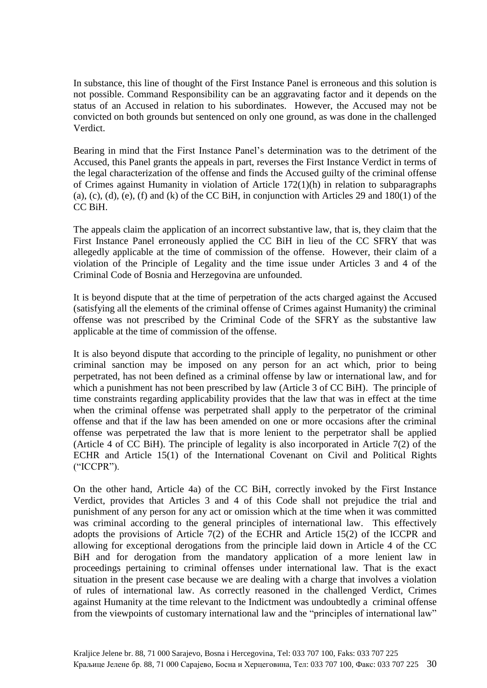In substance, this line of thought of the First Instance Panel is erroneous and this solution is not possible. Command Responsibility can be an aggravating factor and it depends on the status of an Accused in relation to his subordinates. However, the Accused may not be convicted on both grounds but sentenced on only one ground, as was done in the challenged Verdict.

Bearing in mind that the First Instance Panel's determination was to the detriment of the Accused, this Panel grants the appeals in part, reverses the First Instance Verdict in terms of the legal characterization of the offense and finds the Accused guilty of the criminal offense of Crimes against Humanity in violation of Article 172(1)(h) in relation to subparagraphs (a), (c), (d), (e), (f) and (k) of the CC BiH, in conjunction with Articles 29 and  $180(1)$  of the CC BiH.

The appeals claim the application of an incorrect substantive law, that is, they claim that the First Instance Panel erroneously applied the CC BiH in lieu of the CC SFRY that was allegedly applicable at the time of commission of the offense. However, their claim of a violation of the Principle of Legality and the time issue under Articles 3 and 4 of the Criminal Code of Bosnia and Herzegovina are unfounded.

It is beyond dispute that at the time of perpetration of the acts charged against the Accused (satisfying all the elements of the criminal offense of Crimes against Humanity) the criminal offense was not prescribed by the Criminal Code of the SFRY as the substantive law applicable at the time of commission of the offense.

It is also beyond dispute that according to the principle of legality, no punishment or other criminal sanction may be imposed on any person for an act which, prior to being perpetrated, has not been defined as a criminal offense by law or international law, and for which a punishment has not been prescribed by law (Article 3 of CC BiH). The principle of time constraints regarding applicability provides that the law that was in effect at the time when the criminal offense was perpetrated shall apply to the perpetrator of the criminal offense and that if the law has been amended on one or more occasions after the criminal offense was perpetrated the law that is more lenient to the perpetrator shall be applied (Article 4 of CC BiH). The principle of legality is also incorporated in Article 7(2) of the ECHR and Article 15(1) of the International Covenant on Civil and Political Rights ("ICCPR").

On the other hand, Article 4a) of the CC BiH, correctly invoked by the First Instance Verdict, provides that Articles 3 and 4 of this Code shall not prejudice the trial and punishment of any person for any act or omission which at the time when it was committed was criminal according to the general principles of international law. This effectively adopts the provisions of Article 7(2) of the ECHR and Article 15(2) of the ICCPR and allowing for exceptional derogations from the principle laid down in Article 4 of the CC BiH and for derogation from the mandatory application of a more lenient law in proceedings pertaining to criminal offenses under international law. That is the exact situation in the present case because we are dealing with a charge that involves a violation of rules of international law. As correctly reasoned in the challenged Verdict, Crimes against Humanity at the time relevant to the Indictment was undoubtedly a criminal offense from the viewpoints of customary international law and the "principles of international law"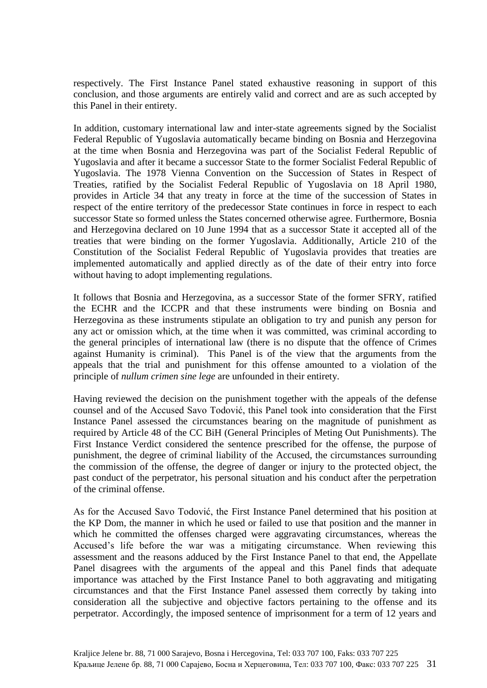respectively. The First Instance Panel stated exhaustive reasoning in support of this conclusion, and those arguments are entirely valid and correct and are as such accepted by this Panel in their entirety.

In addition, customary international law and inter-state agreements signed by the Socialist Federal Republic of Yugoslavia automatically became binding on Bosnia and Herzegovina at the time when Bosnia and Herzegovina was part of the Socialist Federal Republic of Yugoslavia and after it became a successor State to the former Socialist Federal Republic of Yugoslavia. The 1978 Vienna Convention on the Succession of States in Respect of Treaties, ratified by the Socialist Federal Republic of Yugoslavia on 18 April 1980, provides in Article 34 that any treaty in force at the time of the succession of States in respect of the entire territory of the predecessor State continues in force in respect to each successor State so formed unless the States concerned otherwise agree. Furthermore, Bosnia and Herzegovina declared on 10 June 1994 that as a successor State it accepted all of the treaties that were binding on the former Yugoslavia. Additionally, Article 210 of the Constitution of the Socialist Federal Republic of Yugoslavia provides that treaties are implemented automatically and applied directly as of the date of their entry into force without having to adopt implementing regulations.

It follows that Bosnia and Herzegovina, as a successor State of the former SFRY, ratified the ECHR and the ICCPR and that these instruments were binding on Bosnia and Herzegovina as these instruments stipulate an obligation to try and punish any person for any act or omission which, at the time when it was committed, was criminal according to the general principles of international law (there is no dispute that the offence of Crimes against Humanity is criminal). This Panel is of the view that the arguments from the appeals that the trial and punishment for this offense amounted to a violation of the principle of *nullum crimen sine lege* are unfounded in their entirety.

Having reviewed the decision on the punishment together with the appeals of the defense counsel and of the Accused Savo Todović, this Panel took into consideration that the First Instance Panel assessed the circumstances bearing on the magnitude of punishment as required by Article 48 of the CC BiH (General Principles of Meting Out Punishments). The First Instance Verdict considered the sentence prescribed for the offense, the purpose of punishment, the degree of criminal liability of the Accused, the circumstances surrounding the commission of the offense, the degree of danger or injury to the protected object, the past conduct of the perpetrator, his personal situation and his conduct after the perpetration of the criminal offense.

As for the Accused Savo Todović, the First Instance Panel determined that his position at the KP Dom, the manner in which he used or failed to use that position and the manner in which he committed the offenses charged were aggravating circumstances, whereas the Accused's life before the war was a mitigating circumstance. When reviewing this assessment and the reasons adduced by the First Instance Panel to that end, the Appellate Panel disagrees with the arguments of the appeal and this Panel finds that adequate importance was attached by the First Instance Panel to both aggravating and mitigating circumstances and that the First Instance Panel assessed them correctly by taking into consideration all the subjective and objective factors pertaining to the offense and its perpetrator. Accordingly, the imposed sentence of imprisonment for a term of 12 years and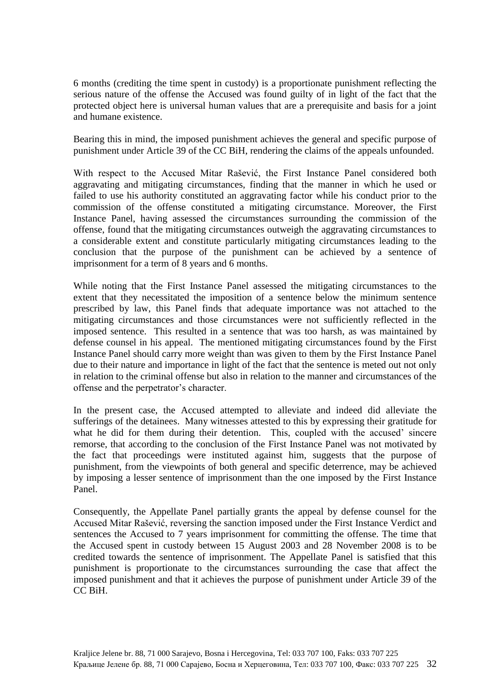6 months (crediting the time spent in custody) is a proportionate punishment reflecting the serious nature of the offense the Accused was found guilty of in light of the fact that the protected object here is universal human values that are a prerequisite and basis for a joint and humane existence.

Bearing this in mind, the imposed punishment achieves the general and specific purpose of punishment under Article 39 of the CC BiH, rendering the claims of the appeals unfounded.

With respect to the Accused Mitar Rašević, the First Instance Panel considered both aggravating and mitigating circumstances, finding that the manner in which he used or failed to use his authority constituted an aggravating factor while his conduct prior to the commission of the offense constituted a mitigating circumstance. Moreover, the First Instance Panel, having assessed the circumstances surrounding the commission of the offense, found that the mitigating circumstances outweigh the aggravating circumstances to a considerable extent and constitute particularly mitigating circumstances leading to the conclusion that the purpose of the punishment can be achieved by a sentence of imprisonment for a term of 8 years and 6 months.

While noting that the First Instance Panel assessed the mitigating circumstances to the extent that they necessitated the imposition of a sentence below the minimum sentence prescribed by law, this Panel finds that adequate importance was not attached to the mitigating circumstances and those circumstances were not sufficiently reflected in the imposed sentence. This resulted in a sentence that was too harsh, as was maintained by defense counsel in his appeal. The mentioned mitigating circumstances found by the First Instance Panel should carry more weight than was given to them by the First Instance Panel due to their nature and importance in light of the fact that the sentence is meted out not only in relation to the criminal offense but also in relation to the manner and circumstances of the offense and the perpetrator's character.

In the present case, the Accused attempted to alleviate and indeed did alleviate the sufferings of the detainees. Many witnesses attested to this by expressing their gratitude for what he did for them during their detention. This, coupled with the accused' sincere remorse, that according to the conclusion of the First Instance Panel was not motivated by the fact that proceedings were instituted against him, suggests that the purpose of punishment, from the viewpoints of both general and specific deterrence, may be achieved by imposing a lesser sentence of imprisonment than the one imposed by the First Instance Panel.

Consequently, the Appellate Panel partially grants the appeal by defense counsel for the Accused Mitar Rašević, reversing the sanction imposed under the First Instance Verdict and sentences the Accused to 7 years imprisonment for committing the offense. The time that the Accused spent in custody between 15 August 2003 and 28 November 2008 is to be credited towards the sentence of imprisonment. The Appellate Panel is satisfied that this punishment is proportionate to the circumstances surrounding the case that affect the imposed punishment and that it achieves the purpose of punishment under Article 39 of the CC BiH.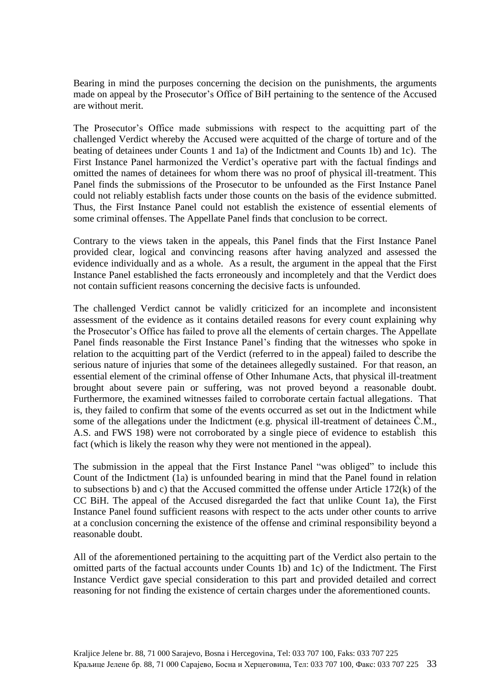Bearing in mind the purposes concerning the decision on the punishments, the arguments made on appeal by the Prosecutor's Office of BiH pertaining to the sentence of the Accused are without merit.

The Prosecutor's Office made submissions with respect to the acquitting part of the challenged Verdict whereby the Accused were acquitted of the charge of torture and of the beating of detainees under Counts 1 and 1a) of the Indictment and Counts 1b) and 1c). The First Instance Panel harmonized the Verdict's operative part with the factual findings and omitted the names of detainees for whom there was no proof of physical ill-treatment. This Panel finds the submissions of the Prosecutor to be unfounded as the First Instance Panel could not reliably establish facts under those counts on the basis of the evidence submitted. Thus, the First Instance Panel could not establish the existence of essential elements of some criminal offenses. The Appellate Panel finds that conclusion to be correct.

Contrary to the views taken in the appeals, this Panel finds that the First Instance Panel provided clear, logical and convincing reasons after having analyzed and assessed the evidence individually and as a whole. As a result, the argument in the appeal that the First Instance Panel established the facts erroneously and incompletely and that the Verdict does not contain sufficient reasons concerning the decisive facts is unfounded.

The challenged Verdict cannot be validly criticized for an incomplete and inconsistent assessment of the evidence as it contains detailed reasons for every count explaining why the Prosecutor's Office has failed to prove all the elements of certain charges. The Appellate Panel finds reasonable the First Instance Panel's finding that the witnesses who spoke in relation to the acquitting part of the Verdict (referred to in the appeal) failed to describe the serious nature of injuries that some of the detainees allegedly sustained. For that reason, an essential element of the criminal offense of Other Inhumane Acts, that physical ill-treatment brought about severe pain or suffering, was not proved beyond a reasonable doubt. Furthermore, the examined witnesses failed to corroborate certain factual allegations. That is, they failed to confirm that some of the events occurred as set out in the Indictment while some of the allegations under the Indictment (e.g. physical ill-treatment of detainees Č.M., A.S. and FWS 198) were not corroborated by a single piece of evidence to establish this fact (which is likely the reason why they were not mentioned in the appeal).

The submission in the appeal that the First Instance Panel "was obliged" to include this Count of the Indictment (1a) is unfounded bearing in mind that the Panel found in relation to subsections b) and c) that the Accused committed the offense under Article 172(k) of the CC BiH. The appeal of the Accused disregarded the fact that unlike Count 1a), the First Instance Panel found sufficient reasons with respect to the acts under other counts to arrive at a conclusion concerning the existence of the offense and criminal responsibility beyond a reasonable doubt.

All of the aforementioned pertaining to the acquitting part of the Verdict also pertain to the omitted parts of the factual accounts under Counts 1b) and 1c) of the Indictment. The First Instance Verdict gave special consideration to this part and provided detailed and correct reasoning for not finding the existence of certain charges under the aforementioned counts.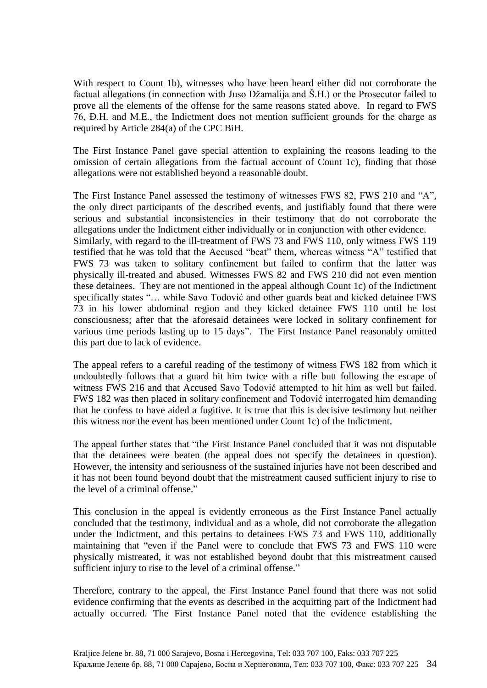With respect to Count 1b), witnesses who have been heard either did not corroborate the factual allegations (in connection with Juso Džamalija and Š.H.) or the Prosecutor failed to prove all the elements of the offense for the same reasons stated above. In regard to FWS 76, Đ.H. and M.E., the Indictment does not mention sufficient grounds for the charge as required by Article 284(a) of the CPC BiH.

The First Instance Panel gave special attention to explaining the reasons leading to the omission of certain allegations from the factual account of Count 1c), finding that those allegations were not established beyond a reasonable doubt.

The First Instance Panel assessed the testimony of witnesses FWS 82, FWS 210 and "A", the only direct participants of the described events, and justifiably found that there were serious and substantial inconsistencies in their testimony that do not corroborate the allegations under the Indictment either individually or in conjunction with other evidence. Similarly, with regard to the ill-treatment of FWS 73 and FWS 110, only witness FWS 119 testified that he was told that the Accused "beat" them, whereas witness "A" testified that FWS 73 was taken to solitary confinement but failed to confirm that the latter was physically ill-treated and abused. Witnesses FWS 82 and FWS 210 did not even mention these detainees. They are not mentioned in the appeal although Count 1c) of the Indictment specifically states "… while Savo Todović and other guards beat and kicked detainee FWS 73 in his lower abdominal region and they kicked detainee FWS 110 until he lost consciousness; after that the aforesaid detainees were locked in solitary confinement for various time periods lasting up to 15 days". The First Instance Panel reasonably omitted this part due to lack of evidence.

The appeal refers to a careful reading of the testimony of witness FWS 182 from which it undoubtedly follows that a guard hit him twice with a rifle butt following the escape of witness FWS 216 and that Accused Savo Todović attempted to hit him as well but failed. FWS 182 was then placed in solitary confinement and Todović interrogated him demanding that he confess to have aided a fugitive. It is true that this is decisive testimony but neither this witness nor the event has been mentioned under Count 1c) of the Indictment.

The appeal further states that "the First Instance Panel concluded that it was not disputable that the detainees were beaten (the appeal does not specify the detainees in question). However, the intensity and seriousness of the sustained injuries have not been described and it has not been found beyond doubt that the mistreatment caused sufficient injury to rise to the level of a criminal offense."

This conclusion in the appeal is evidently erroneous as the First Instance Panel actually concluded that the testimony, individual and as a whole, did not corroborate the allegation under the Indictment, and this pertains to detainees FWS 73 and FWS 110, additionally maintaining that "even if the Panel were to conclude that FWS 73 and FWS 110 were physically mistreated, it was not established beyond doubt that this mistreatment caused sufficient injury to rise to the level of a criminal offense."

Therefore, contrary to the appeal, the First Instance Panel found that there was not solid evidence confirming that the events as described in the acquitting part of the Indictment had actually occurred. The First Instance Panel noted that the evidence establishing the